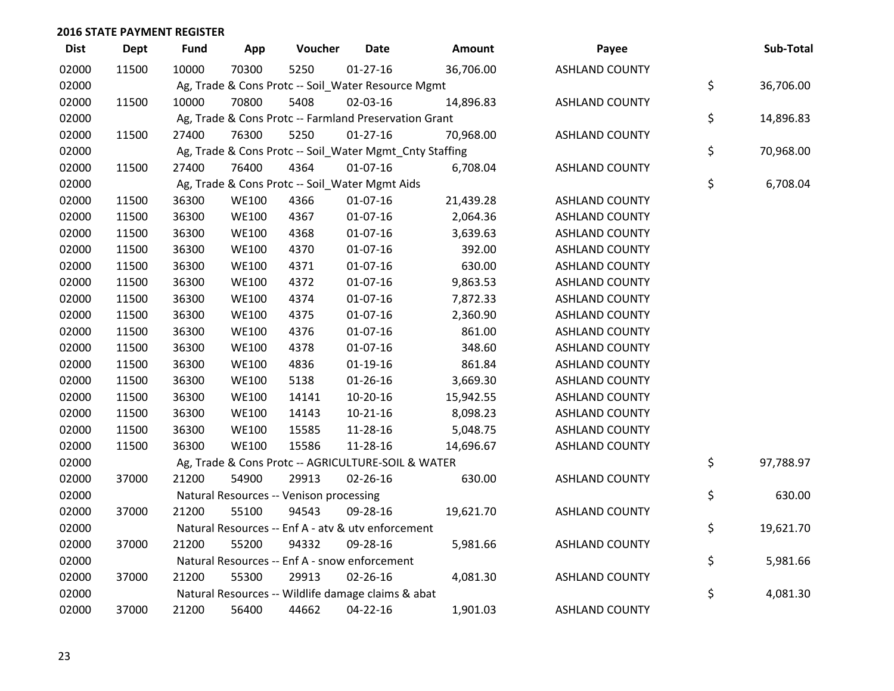| <b>Dist</b> | <b>Dept</b> | <b>Fund</b> | App          | Voucher                                                 | <b>Date</b>    | Amount    | Payee                 | Sub-Total       |
|-------------|-------------|-------------|--------------|---------------------------------------------------------|----------------|-----------|-----------------------|-----------------|
| 02000       | 11500       | 10000       | 70300        | 5250                                                    | $01-27-16$     | 36,706.00 | <b>ASHLAND COUNTY</b> |                 |
| 02000       |             |             |              | Ag, Trade & Cons Protc -- Soil_Water Resource Mgmt      |                |           |                       | \$<br>36,706.00 |
| 02000       | 11500       | 10000       | 70800        | 5408                                                    | 02-03-16       | 14,896.83 | <b>ASHLAND COUNTY</b> |                 |
| 02000       |             |             |              | Ag, Trade & Cons Protc -- Farmland Preservation Grant   |                |           |                       | \$<br>14,896.83 |
| 02000       | 11500       | 27400       | 76300        | 5250                                                    | $01 - 27 - 16$ | 70,968.00 | <b>ASHLAND COUNTY</b> |                 |
| 02000       |             |             |              | Ag, Trade & Cons Protc -- Soil_Water Mgmt_Cnty Staffing |                |           |                       | \$<br>70,968.00 |
| 02000       | 11500       | 27400       | 76400        | 4364                                                    | $01 - 07 - 16$ | 6,708.04  | <b>ASHLAND COUNTY</b> |                 |
| 02000       |             |             |              | Ag, Trade & Cons Protc -- Soil_Water Mgmt Aids          |                |           |                       | \$<br>6,708.04  |
| 02000       | 11500       | 36300       | <b>WE100</b> | 4366                                                    | 01-07-16       | 21,439.28 | <b>ASHLAND COUNTY</b> |                 |
| 02000       | 11500       | 36300       | <b>WE100</b> | 4367                                                    | 01-07-16       | 2,064.36  | <b>ASHLAND COUNTY</b> |                 |
| 02000       | 11500       | 36300       | <b>WE100</b> | 4368                                                    | 01-07-16       | 3,639.63  | <b>ASHLAND COUNTY</b> |                 |
| 02000       | 11500       | 36300       | <b>WE100</b> | 4370                                                    | $01-07-16$     | 392.00    | <b>ASHLAND COUNTY</b> |                 |
| 02000       | 11500       | 36300       | <b>WE100</b> | 4371                                                    | 01-07-16       | 630.00    | <b>ASHLAND COUNTY</b> |                 |
| 02000       | 11500       | 36300       | <b>WE100</b> | 4372                                                    | $01-07-16$     | 9,863.53  | <b>ASHLAND COUNTY</b> |                 |
| 02000       | 11500       | 36300       | <b>WE100</b> | 4374                                                    | $01-07-16$     | 7,872.33  | <b>ASHLAND COUNTY</b> |                 |
| 02000       | 11500       | 36300       | <b>WE100</b> | 4375                                                    | $01-07-16$     | 2,360.90  | <b>ASHLAND COUNTY</b> |                 |
| 02000       | 11500       | 36300       | <b>WE100</b> | 4376                                                    | $01-07-16$     | 861.00    | <b>ASHLAND COUNTY</b> |                 |
| 02000       | 11500       | 36300       | <b>WE100</b> | 4378                                                    | 01-07-16       | 348.60    | <b>ASHLAND COUNTY</b> |                 |
| 02000       | 11500       | 36300       | <b>WE100</b> | 4836                                                    | $01-19-16$     | 861.84    | <b>ASHLAND COUNTY</b> |                 |
| 02000       | 11500       | 36300       | <b>WE100</b> | 5138                                                    | $01 - 26 - 16$ | 3,669.30  | <b>ASHLAND COUNTY</b> |                 |
| 02000       | 11500       | 36300       | <b>WE100</b> | 14141                                                   | 10-20-16       | 15,942.55 | <b>ASHLAND COUNTY</b> |                 |
| 02000       | 11500       | 36300       | <b>WE100</b> | 14143                                                   | $10-21-16$     | 8,098.23  | <b>ASHLAND COUNTY</b> |                 |
| 02000       | 11500       | 36300       | <b>WE100</b> | 15585                                                   | 11-28-16       | 5,048.75  | <b>ASHLAND COUNTY</b> |                 |
| 02000       | 11500       | 36300       | <b>WE100</b> | 15586                                                   | 11-28-16       | 14,696.67 | <b>ASHLAND COUNTY</b> |                 |
| 02000       |             |             |              | Ag, Trade & Cons Protc -- AGRICULTURE-SOIL & WATER      |                |           |                       | \$<br>97,788.97 |
| 02000       | 37000       | 21200       | 54900        | 29913                                                   | $02 - 26 - 16$ | 630.00    | <b>ASHLAND COUNTY</b> |                 |
| 02000       |             |             |              | Natural Resources -- Venison processing                 |                |           |                       | \$<br>630.00    |
| 02000       | 37000       | 21200       | 55100        | 94543                                                   | 09-28-16       | 19,621.70 | <b>ASHLAND COUNTY</b> |                 |
| 02000       |             |             |              | Natural Resources -- Enf A - atv & utv enforcement      |                |           |                       | \$<br>19,621.70 |
| 02000       | 37000       | 21200       | 55200        | 94332                                                   | 09-28-16       | 5,981.66  | <b>ASHLAND COUNTY</b> |                 |
| 02000       |             |             |              | Natural Resources -- Enf A - snow enforcement           |                |           |                       | \$<br>5,981.66  |
| 02000       | 37000       | 21200       | 55300        | 29913                                                   | 02-26-16       | 4,081.30  | <b>ASHLAND COUNTY</b> |                 |
| 02000       |             |             |              | Natural Resources -- Wildlife damage claims & abat      |                |           |                       | \$<br>4,081.30  |
| 02000       | 37000       | 21200       | 56400        | 44662                                                   | $04 - 22 - 16$ | 1,901.03  | <b>ASHLAND COUNTY</b> |                 |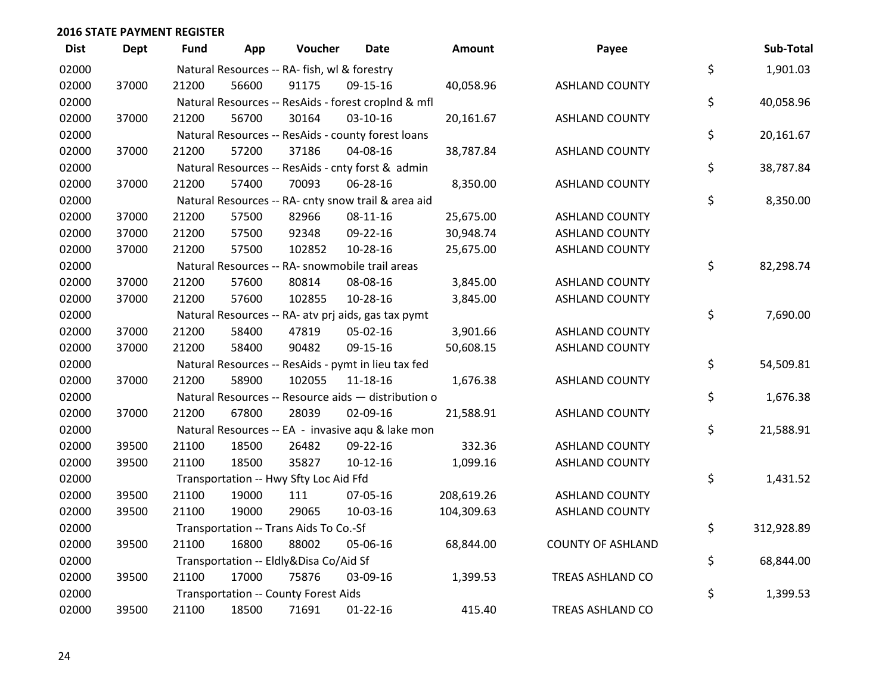| <b>Dist</b> | <b>Dept</b> | Fund  | App   | Voucher                                             | <b>Date</b>    | <b>Amount</b> | Payee                    | Sub-Total        |
|-------------|-------------|-------|-------|-----------------------------------------------------|----------------|---------------|--------------------------|------------------|
| 02000       |             |       |       | Natural Resources -- RA- fish, wl & forestry        |                |               |                          | \$<br>1,901.03   |
| 02000       | 37000       | 21200 | 56600 | 91175                                               | 09-15-16       | 40,058.96     | <b>ASHLAND COUNTY</b>    |                  |
| 02000       |             |       |       | Natural Resources -- ResAids - forest croplnd & mfl |                |               |                          | \$<br>40,058.96  |
| 02000       | 37000       | 21200 | 56700 | 30164                                               | $03 - 10 - 16$ | 20,161.67     | <b>ASHLAND COUNTY</b>    |                  |
| 02000       |             |       |       | Natural Resources -- ResAids - county forest loans  |                |               |                          | \$<br>20,161.67  |
| 02000       | 37000       | 21200 | 57200 | 37186                                               | 04-08-16       | 38,787.84     | <b>ASHLAND COUNTY</b>    |                  |
| 02000       |             |       |       | Natural Resources -- ResAids - cnty forst & admin   |                |               |                          | \$<br>38,787.84  |
| 02000       | 37000       | 21200 | 57400 | 70093                                               | 06-28-16       | 8,350.00      | <b>ASHLAND COUNTY</b>    |                  |
| 02000       |             |       |       | Natural Resources -- RA- cnty snow trail & area aid |                |               |                          | \$<br>8,350.00   |
| 02000       | 37000       | 21200 | 57500 | 82966                                               | 08-11-16       | 25,675.00     | <b>ASHLAND COUNTY</b>    |                  |
| 02000       | 37000       | 21200 | 57500 | 92348                                               | 09-22-16       | 30,948.74     | <b>ASHLAND COUNTY</b>    |                  |
| 02000       | 37000       | 21200 | 57500 | 102852                                              | 10-28-16       | 25,675.00     | <b>ASHLAND COUNTY</b>    |                  |
| 02000       |             |       |       | Natural Resources -- RA- snowmobile trail areas     |                |               |                          | \$<br>82,298.74  |
| 02000       | 37000       | 21200 | 57600 | 80814                                               | 08-08-16       | 3,845.00      | <b>ASHLAND COUNTY</b>    |                  |
| 02000       | 37000       | 21200 | 57600 | 102855                                              | $10-28-16$     | 3,845.00      | <b>ASHLAND COUNTY</b>    |                  |
| 02000       |             |       |       | Natural Resources -- RA- atv prj aids, gas tax pymt |                |               |                          | \$<br>7,690.00   |
| 02000       | 37000       | 21200 | 58400 | 47819                                               | 05-02-16       | 3,901.66      | <b>ASHLAND COUNTY</b>    |                  |
| 02000       | 37000       | 21200 | 58400 | 90482                                               | 09-15-16       | 50,608.15     | <b>ASHLAND COUNTY</b>    |                  |
| 02000       |             |       |       | Natural Resources -- ResAids - pymt in lieu tax fed |                |               |                          | \$<br>54,509.81  |
| 02000       | 37000       | 21200 | 58900 | 102055                                              | $11 - 18 - 16$ | 1,676.38      | <b>ASHLAND COUNTY</b>    |                  |
| 02000       |             |       |       | Natural Resources -- Resource aids - distribution o |                |               |                          | \$<br>1,676.38   |
| 02000       | 37000       | 21200 | 67800 | 28039                                               | 02-09-16       | 21,588.91     | <b>ASHLAND COUNTY</b>    |                  |
| 02000       |             |       |       | Natural Resources -- EA - invasive aqu & lake mon   |                |               |                          | \$<br>21,588.91  |
| 02000       | 39500       | 21100 | 18500 | 26482                                               | 09-22-16       | 332.36        | <b>ASHLAND COUNTY</b>    |                  |
| 02000       | 39500       | 21100 | 18500 | 35827                                               | $10-12-16$     | 1,099.16      | <b>ASHLAND COUNTY</b>    |                  |
| 02000       |             |       |       | Transportation -- Hwy Sfty Loc Aid Ffd              |                |               |                          | \$<br>1,431.52   |
| 02000       | 39500       | 21100 | 19000 | 111                                                 | 07-05-16       | 208,619.26    | <b>ASHLAND COUNTY</b>    |                  |
| 02000       | 39500       | 21100 | 19000 | 29065                                               | 10-03-16       | 104,309.63    | <b>ASHLAND COUNTY</b>    |                  |
| 02000       |             |       |       | Transportation -- Trans Aids To Co.-Sf              |                |               |                          | \$<br>312,928.89 |
| 02000       | 39500       | 21100 | 16800 | 88002                                               | 05-06-16       | 68,844.00     | <b>COUNTY OF ASHLAND</b> |                  |
| 02000       |             |       |       | Transportation -- Eldly&Disa Co/Aid Sf              |                |               |                          | \$<br>68,844.00  |
| 02000       | 39500       | 21100 | 17000 | 75876                                               | 03-09-16       | 1,399.53      | TREAS ASHLAND CO         |                  |
| 02000       |             |       |       | Transportation -- County Forest Aids                |                |               |                          | \$<br>1,399.53   |
| 02000       | 39500       | 21100 | 18500 | 71691                                               | $01 - 22 - 16$ | 415.40        | TREAS ASHLAND CO         |                  |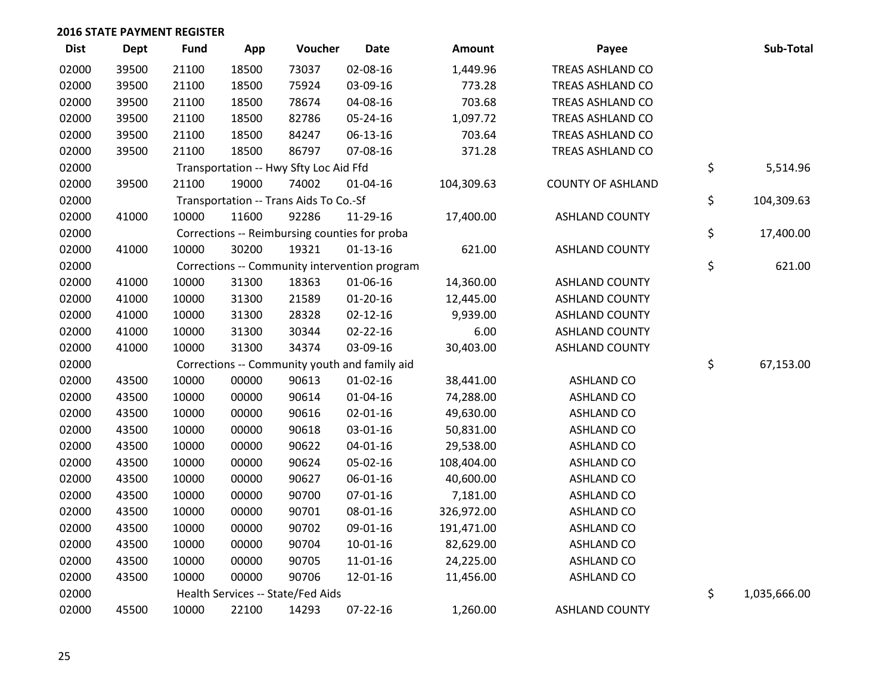| <b>Dist</b> | Dept  | <b>Fund</b> | App   | Voucher                                | <b>Date</b>                                   | <b>Amount</b> | Payee                    | Sub-Total          |
|-------------|-------|-------------|-------|----------------------------------------|-----------------------------------------------|---------------|--------------------------|--------------------|
| 02000       | 39500 | 21100       | 18500 | 73037                                  | 02-08-16                                      | 1,449.96      | <b>TREAS ASHLAND CO</b>  |                    |
| 02000       | 39500 | 21100       | 18500 | 75924                                  | 03-09-16                                      | 773.28        | TREAS ASHLAND CO         |                    |
| 02000       | 39500 | 21100       | 18500 | 78674                                  | 04-08-16                                      | 703.68        | TREAS ASHLAND CO         |                    |
| 02000       | 39500 | 21100       | 18500 | 82786                                  | 05-24-16                                      | 1,097.72      | TREAS ASHLAND CO         |                    |
| 02000       | 39500 | 21100       | 18500 | 84247                                  | 06-13-16                                      | 703.64        | TREAS ASHLAND CO         |                    |
| 02000       | 39500 | 21100       | 18500 | 86797                                  | 07-08-16                                      | 371.28        | TREAS ASHLAND CO         |                    |
| 02000       |       |             |       | Transportation -- Hwy Sfty Loc Aid Ffd |                                               |               |                          | \$<br>5,514.96     |
| 02000       | 39500 | 21100       | 19000 | 74002                                  | $01 - 04 - 16$                                | 104,309.63    | <b>COUNTY OF ASHLAND</b> |                    |
| 02000       |       |             |       | Transportation -- Trans Aids To Co.-Sf |                                               |               |                          | \$<br>104,309.63   |
| 02000       | 41000 | 10000       | 11600 | 92286                                  | 11-29-16                                      | 17,400.00     | <b>ASHLAND COUNTY</b>    |                    |
| 02000       |       |             |       |                                        | Corrections -- Reimbursing counties for proba |               |                          | \$<br>17,400.00    |
| 02000       | 41000 | 10000       | 30200 | 19321                                  | $01 - 13 - 16$                                | 621.00        | <b>ASHLAND COUNTY</b>    |                    |
| 02000       |       |             |       |                                        | Corrections -- Community intervention program |               |                          | \$<br>621.00       |
| 02000       | 41000 | 10000       | 31300 | 18363                                  | 01-06-16                                      | 14,360.00     | <b>ASHLAND COUNTY</b>    |                    |
| 02000       | 41000 | 10000       | 31300 | 21589                                  | $01-20-16$                                    | 12,445.00     | <b>ASHLAND COUNTY</b>    |                    |
| 02000       | 41000 | 10000       | 31300 | 28328                                  | $02 - 12 - 16$                                | 9,939.00      | <b>ASHLAND COUNTY</b>    |                    |
| 02000       | 41000 | 10000       | 31300 | 30344                                  | 02-22-16                                      | 6.00          | <b>ASHLAND COUNTY</b>    |                    |
| 02000       | 41000 | 10000       | 31300 | 34374                                  | 03-09-16                                      | 30,403.00     | <b>ASHLAND COUNTY</b>    |                    |
| 02000       |       |             |       |                                        | Corrections -- Community youth and family aid |               |                          | \$<br>67,153.00    |
| 02000       | 43500 | 10000       | 00000 | 90613                                  | $01-02-16$                                    | 38,441.00     | <b>ASHLAND CO</b>        |                    |
| 02000       | 43500 | 10000       | 00000 | 90614                                  | $01 - 04 - 16$                                | 74,288.00     | <b>ASHLAND CO</b>        |                    |
| 02000       | 43500 | 10000       | 00000 | 90616                                  | $02 - 01 - 16$                                | 49,630.00     | <b>ASHLAND CO</b>        |                    |
| 02000       | 43500 | 10000       | 00000 | 90618                                  | 03-01-16                                      | 50,831.00     | <b>ASHLAND CO</b>        |                    |
| 02000       | 43500 | 10000       | 00000 | 90622                                  | $04 - 01 - 16$                                | 29,538.00     | <b>ASHLAND CO</b>        |                    |
| 02000       | 43500 | 10000       | 00000 | 90624                                  | 05-02-16                                      | 108,404.00    | <b>ASHLAND CO</b>        |                    |
| 02000       | 43500 | 10000       | 00000 | 90627                                  | 06-01-16                                      | 40,600.00     | <b>ASHLAND CO</b>        |                    |
| 02000       | 43500 | 10000       | 00000 | 90700                                  | $07 - 01 - 16$                                | 7,181.00      | <b>ASHLAND CO</b>        |                    |
| 02000       | 43500 | 10000       | 00000 | 90701                                  | 08-01-16                                      | 326,972.00    | <b>ASHLAND CO</b>        |                    |
| 02000       | 43500 | 10000       | 00000 | 90702                                  | 09-01-16                                      | 191,471.00    | <b>ASHLAND CO</b>        |                    |
| 02000       | 43500 | 10000       | 00000 | 90704                                  | $10 - 01 - 16$                                | 82,629.00     | <b>ASHLAND CO</b>        |                    |
| 02000       | 43500 | 10000       | 00000 | 90705                                  | 11-01-16                                      | 24,225.00     | <b>ASHLAND CO</b>        |                    |
| 02000       | 43500 | 10000       | 00000 | 90706                                  | 12-01-16                                      | 11,456.00     | <b>ASHLAND CO</b>        |                    |
| 02000       |       |             |       | Health Services -- State/Fed Aids      |                                               |               |                          | \$<br>1,035,666.00 |
| 02000       | 45500 | 10000       | 22100 | 14293                                  | 07-22-16                                      | 1,260.00      | <b>ASHLAND COUNTY</b>    |                    |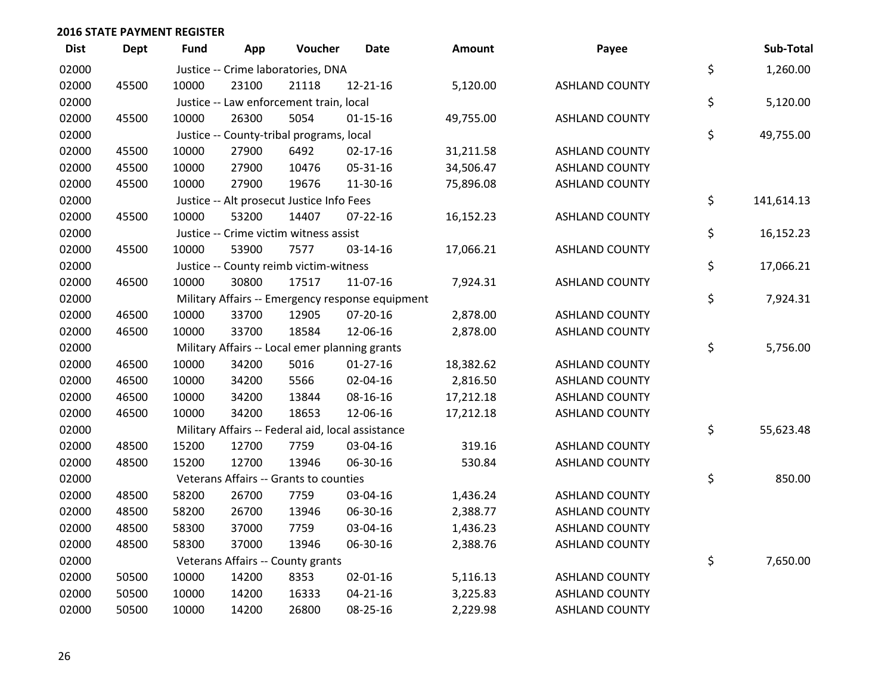| <b>Dist</b> | <b>Dept</b> | Fund  | App   | Voucher                                           | <b>Date</b>                                      | <b>Amount</b> | Payee                 | Sub-Total        |
|-------------|-------------|-------|-------|---------------------------------------------------|--------------------------------------------------|---------------|-----------------------|------------------|
| 02000       |             |       |       | Justice -- Crime laboratories, DNA                |                                                  |               |                       | \$<br>1,260.00   |
| 02000       | 45500       | 10000 | 23100 | 21118                                             | 12-21-16                                         | 5,120.00      | <b>ASHLAND COUNTY</b> |                  |
| 02000       |             |       |       | Justice -- Law enforcement train, local           |                                                  |               |                       | \$<br>5,120.00   |
| 02000       | 45500       | 10000 | 26300 | 5054                                              | $01 - 15 - 16$                                   | 49,755.00     | <b>ASHLAND COUNTY</b> |                  |
| 02000       |             |       |       | Justice -- County-tribal programs, local          |                                                  |               |                       | \$<br>49,755.00  |
| 02000       | 45500       | 10000 | 27900 | 6492                                              | $02 - 17 - 16$                                   | 31,211.58     | <b>ASHLAND COUNTY</b> |                  |
| 02000       | 45500       | 10000 | 27900 | 10476                                             | 05-31-16                                         | 34,506.47     | <b>ASHLAND COUNTY</b> |                  |
| 02000       | 45500       | 10000 | 27900 | 19676                                             | 11-30-16                                         | 75,896.08     | <b>ASHLAND COUNTY</b> |                  |
| 02000       |             |       |       | Justice -- Alt prosecut Justice Info Fees         |                                                  |               |                       | \$<br>141,614.13 |
| 02000       | 45500       | 10000 | 53200 | 14407                                             | $07 - 22 - 16$                                   | 16,152.23     | <b>ASHLAND COUNTY</b> |                  |
| 02000       |             |       |       | Justice -- Crime victim witness assist            |                                                  |               |                       | \$<br>16,152.23  |
| 02000       | 45500       | 10000 | 53900 | 7577                                              | 03-14-16                                         | 17,066.21     | <b>ASHLAND COUNTY</b> |                  |
| 02000       |             |       |       | Justice -- County reimb victim-witness            |                                                  |               |                       | \$<br>17,066.21  |
| 02000       | 46500       | 10000 | 30800 | 17517                                             | 11-07-16                                         | 7,924.31      | <b>ASHLAND COUNTY</b> |                  |
| 02000       |             |       |       |                                                   | Military Affairs -- Emergency response equipment |               |                       | \$<br>7,924.31   |
| 02000       | 46500       | 10000 | 33700 | 12905                                             | $07 - 20 - 16$                                   | 2,878.00      | <b>ASHLAND COUNTY</b> |                  |
| 02000       | 46500       | 10000 | 33700 | 18584                                             | 12-06-16                                         | 2,878.00      | <b>ASHLAND COUNTY</b> |                  |
| 02000       |             |       |       | Military Affairs -- Local emer planning grants    |                                                  |               |                       | \$<br>5,756.00   |
| 02000       | 46500       | 10000 | 34200 | 5016                                              | $01-27-16$                                       | 18,382.62     | <b>ASHLAND COUNTY</b> |                  |
| 02000       | 46500       | 10000 | 34200 | 5566                                              | 02-04-16                                         | 2,816.50      | <b>ASHLAND COUNTY</b> |                  |
| 02000       | 46500       | 10000 | 34200 | 13844                                             | 08-16-16                                         | 17,212.18     | <b>ASHLAND COUNTY</b> |                  |
| 02000       | 46500       | 10000 | 34200 | 18653                                             | 12-06-16                                         | 17,212.18     | <b>ASHLAND COUNTY</b> |                  |
| 02000       |             |       |       | Military Affairs -- Federal aid, local assistance |                                                  |               |                       | \$<br>55,623.48  |
| 02000       | 48500       | 15200 | 12700 | 7759                                              | 03-04-16                                         | 319.16        | <b>ASHLAND COUNTY</b> |                  |
| 02000       | 48500       | 15200 | 12700 | 13946                                             | 06-30-16                                         | 530.84        | <b>ASHLAND COUNTY</b> |                  |
| 02000       |             |       |       | Veterans Affairs -- Grants to counties            |                                                  |               |                       | \$<br>850.00     |
| 02000       | 48500       | 58200 | 26700 | 7759                                              | 03-04-16                                         | 1,436.24      | <b>ASHLAND COUNTY</b> |                  |
| 02000       | 48500       | 58200 | 26700 | 13946                                             | 06-30-16                                         | 2,388.77      | <b>ASHLAND COUNTY</b> |                  |
| 02000       | 48500       | 58300 | 37000 | 7759                                              | 03-04-16                                         | 1,436.23      | <b>ASHLAND COUNTY</b> |                  |
| 02000       | 48500       | 58300 | 37000 | 13946                                             | 06-30-16                                         | 2,388.76      | <b>ASHLAND COUNTY</b> |                  |
| 02000       |             |       |       | Veterans Affairs -- County grants                 |                                                  |               |                       | \$<br>7,650.00   |
| 02000       | 50500       | 10000 | 14200 | 8353                                              | $02 - 01 - 16$                                   | 5,116.13      | <b>ASHLAND COUNTY</b> |                  |
| 02000       | 50500       | 10000 | 14200 | 16333                                             | $04 - 21 - 16$                                   | 3,225.83      | <b>ASHLAND COUNTY</b> |                  |
| 02000       | 50500       | 10000 | 14200 | 26800                                             | 08-25-16                                         | 2,229.98      | <b>ASHLAND COUNTY</b> |                  |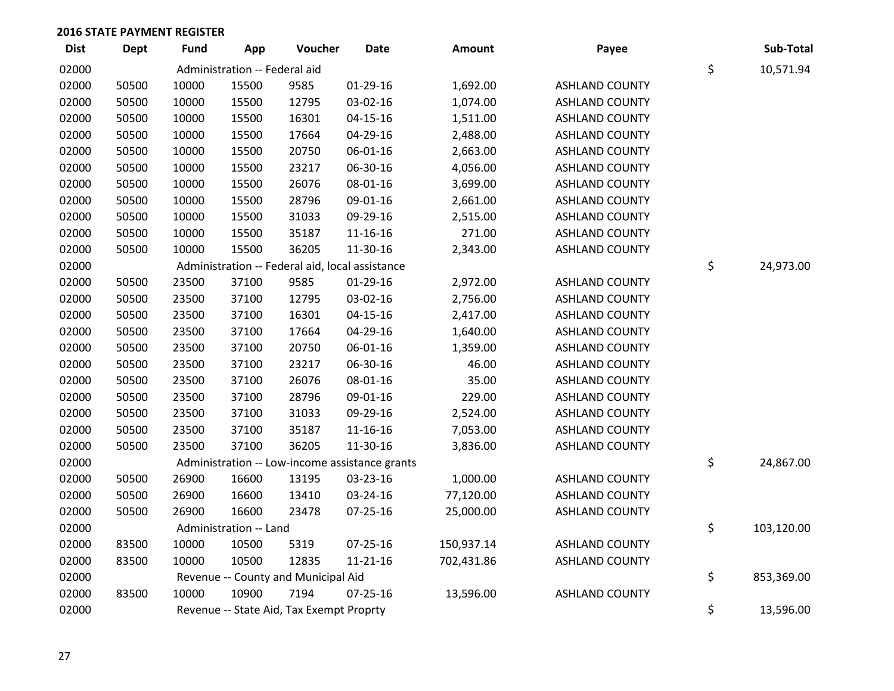| <b>Dist</b> | <b>Dept</b> | <b>Fund</b> | App                           | Voucher                                         | Date                                           | Amount     | Payee                 | Sub-Total        |
|-------------|-------------|-------------|-------------------------------|-------------------------------------------------|------------------------------------------------|------------|-----------------------|------------------|
| 02000       |             |             | Administration -- Federal aid |                                                 |                                                |            |                       | \$<br>10,571.94  |
| 02000       | 50500       | 10000       | 15500                         | 9585                                            | $01-29-16$                                     | 1,692.00   | <b>ASHLAND COUNTY</b> |                  |
| 02000       | 50500       | 10000       | 15500                         | 12795                                           | 03-02-16                                       | 1,074.00   | <b>ASHLAND COUNTY</b> |                  |
| 02000       | 50500       | 10000       | 15500                         | 16301                                           | $04 - 15 - 16$                                 | 1,511.00   | <b>ASHLAND COUNTY</b> |                  |
| 02000       | 50500       | 10000       | 15500                         | 17664                                           | 04-29-16                                       | 2,488.00   | <b>ASHLAND COUNTY</b> |                  |
| 02000       | 50500       | 10000       | 15500                         | 20750                                           | 06-01-16                                       | 2,663.00   | <b>ASHLAND COUNTY</b> |                  |
| 02000       | 50500       | 10000       | 15500                         | 23217                                           | 06-30-16                                       | 4,056.00   | <b>ASHLAND COUNTY</b> |                  |
| 02000       | 50500       | 10000       | 15500                         | 26076                                           | 08-01-16                                       | 3,699.00   | <b>ASHLAND COUNTY</b> |                  |
| 02000       | 50500       | 10000       | 15500                         | 28796                                           | 09-01-16                                       | 2,661.00   | <b>ASHLAND COUNTY</b> |                  |
| 02000       | 50500       | 10000       | 15500                         | 31033                                           | 09-29-16                                       | 2,515.00   | <b>ASHLAND COUNTY</b> |                  |
| 02000       | 50500       | 10000       | 15500                         | 35187                                           | 11-16-16                                       | 271.00     | <b>ASHLAND COUNTY</b> |                  |
| 02000       | 50500       | 10000       | 15500                         | 36205                                           | 11-30-16                                       | 2,343.00   | <b>ASHLAND COUNTY</b> |                  |
| 02000       |             |             |                               | Administration -- Federal aid, local assistance |                                                |            |                       | \$<br>24,973.00  |
| 02000       | 50500       | 23500       | 37100                         | 9585                                            | $01-29-16$                                     | 2,972.00   | <b>ASHLAND COUNTY</b> |                  |
| 02000       | 50500       | 23500       | 37100                         | 12795                                           | 03-02-16                                       | 2,756.00   | <b>ASHLAND COUNTY</b> |                  |
| 02000       | 50500       | 23500       | 37100                         | 16301                                           | 04-15-16                                       | 2,417.00   | <b>ASHLAND COUNTY</b> |                  |
| 02000       | 50500       | 23500       | 37100                         | 17664                                           | 04-29-16                                       | 1,640.00   | <b>ASHLAND COUNTY</b> |                  |
| 02000       | 50500       | 23500       | 37100                         | 20750                                           | 06-01-16                                       | 1,359.00   | <b>ASHLAND COUNTY</b> |                  |
| 02000       | 50500       | 23500       | 37100                         | 23217                                           | 06-30-16                                       | 46.00      | <b>ASHLAND COUNTY</b> |                  |
| 02000       | 50500       | 23500       | 37100                         | 26076                                           | 08-01-16                                       | 35.00      | <b>ASHLAND COUNTY</b> |                  |
| 02000       | 50500       | 23500       | 37100                         | 28796                                           | 09-01-16                                       | 229.00     | <b>ASHLAND COUNTY</b> |                  |
| 02000       | 50500       | 23500       | 37100                         | 31033                                           | 09-29-16                                       | 2,524.00   | <b>ASHLAND COUNTY</b> |                  |
| 02000       | 50500       | 23500       | 37100                         | 35187                                           | 11-16-16                                       | 7,053.00   | <b>ASHLAND COUNTY</b> |                  |
| 02000       | 50500       | 23500       | 37100                         | 36205                                           | 11-30-16                                       | 3,836.00   | <b>ASHLAND COUNTY</b> |                  |
| 02000       |             |             |                               |                                                 | Administration -- Low-income assistance grants |            |                       | \$<br>24,867.00  |
| 02000       | 50500       | 26900       | 16600                         | 13195                                           | 03-23-16                                       | 1,000.00   | <b>ASHLAND COUNTY</b> |                  |
| 02000       | 50500       | 26900       | 16600                         | 13410                                           | 03-24-16                                       | 77,120.00  | <b>ASHLAND COUNTY</b> |                  |
| 02000       | 50500       | 26900       | 16600                         | 23478                                           | $07 - 25 - 16$                                 | 25,000.00  | <b>ASHLAND COUNTY</b> |                  |
| 02000       |             |             | Administration -- Land        |                                                 |                                                |            |                       | \$<br>103,120.00 |
| 02000       | 83500       | 10000       | 10500                         | 5319                                            | $07 - 25 - 16$                                 | 150,937.14 | <b>ASHLAND COUNTY</b> |                  |
| 02000       | 83500       | 10000       | 10500                         | 12835                                           | $11 - 21 - 16$                                 | 702,431.86 | <b>ASHLAND COUNTY</b> |                  |
| 02000       |             |             |                               | Revenue -- County and Municipal Aid             |                                                |            |                       | \$<br>853,369.00 |
| 02000       | 83500       | 10000       | 10900                         | 7194                                            | $07 - 25 - 16$                                 | 13,596.00  | <b>ASHLAND COUNTY</b> |                  |
| 02000       |             |             |                               | Revenue -- State Aid, Tax Exempt Proprty        |                                                |            |                       | \$<br>13,596.00  |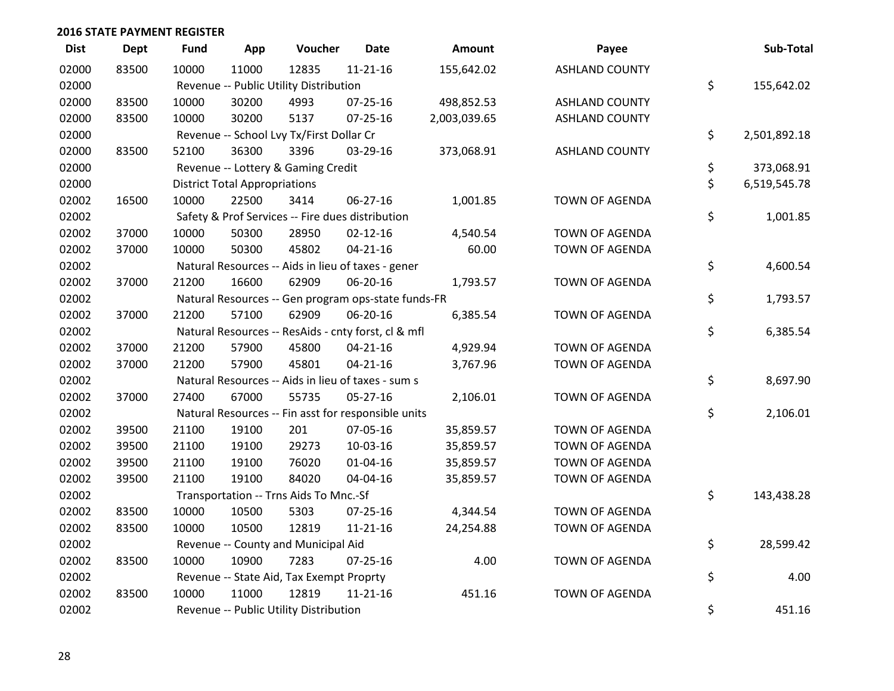| <b>Dist</b> | <b>Dept</b> | <b>Fund</b> | App                                  | Voucher                                             | Date           | Amount       | Payee                 | Sub-Total          |
|-------------|-------------|-------------|--------------------------------------|-----------------------------------------------------|----------------|--------------|-----------------------|--------------------|
| 02000       | 83500       | 10000       | 11000                                | 12835                                               | $11 - 21 - 16$ | 155,642.02   | <b>ASHLAND COUNTY</b> |                    |
| 02000       |             |             |                                      | Revenue -- Public Utility Distribution              |                |              |                       | \$<br>155,642.02   |
| 02000       | 83500       | 10000       | 30200                                | 4993                                                | 07-25-16       | 498,852.53   | <b>ASHLAND COUNTY</b> |                    |
| 02000       | 83500       | 10000       | 30200                                | 5137                                                | $07 - 25 - 16$ | 2,003,039.65 | <b>ASHLAND COUNTY</b> |                    |
| 02000       |             |             |                                      | Revenue -- School Lvy Tx/First Dollar Cr            |                |              |                       | \$<br>2,501,892.18 |
| 02000       | 83500       | 52100       | 36300                                | 3396                                                | 03-29-16       | 373,068.91   | <b>ASHLAND COUNTY</b> |                    |
| 02000       |             |             |                                      | Revenue -- Lottery & Gaming Credit                  |                |              |                       | \$<br>373,068.91   |
| 02000       |             |             | <b>District Total Appropriations</b> |                                                     |                |              |                       | \$<br>6,519,545.78 |
| 02002       | 16500       | 10000       | 22500                                | 3414                                                | 06-27-16       | 1,001.85     | TOWN OF AGENDA        |                    |
| 02002       |             |             |                                      | Safety & Prof Services -- Fire dues distribution    |                |              |                       | \$<br>1,001.85     |
| 02002       | 37000       | 10000       | 50300                                | 28950                                               | $02 - 12 - 16$ | 4,540.54     | TOWN OF AGENDA        |                    |
| 02002       | 37000       | 10000       | 50300                                | 45802                                               | $04 - 21 - 16$ | 60.00        | <b>TOWN OF AGENDA</b> |                    |
| 02002       |             |             |                                      | Natural Resources -- Aids in lieu of taxes - gener  |                |              |                       | \$<br>4,600.54     |
| 02002       | 37000       | 21200       | 16600                                | 62909                                               | 06-20-16       | 1,793.57     | <b>TOWN OF AGENDA</b> |                    |
| 02002       |             |             |                                      | Natural Resources -- Gen program ops-state funds-FR |                |              |                       | \$<br>1,793.57     |
| 02002       | 37000       | 21200       | 57100                                | 62909                                               | 06-20-16       | 6,385.54     | <b>TOWN OF AGENDA</b> |                    |
| 02002       |             |             |                                      | Natural Resources -- ResAids - cnty forst, cl & mfl |                |              |                       | \$<br>6,385.54     |
| 02002       | 37000       | 21200       | 57900                                | 45800                                               | $04 - 21 - 16$ | 4,929.94     | TOWN OF AGENDA        |                    |
| 02002       | 37000       | 21200       | 57900                                | 45801                                               | $04 - 21 - 16$ | 3,767.96     | TOWN OF AGENDA        |                    |
| 02002       |             |             |                                      | Natural Resources -- Aids in lieu of taxes - sum s  |                |              |                       | \$<br>8,697.90     |
| 02002       | 37000       | 27400       | 67000                                | 55735                                               | $05 - 27 - 16$ | 2,106.01     | TOWN OF AGENDA        |                    |
| 02002       |             |             |                                      | Natural Resources -- Fin asst for responsible units |                |              |                       | \$<br>2,106.01     |
| 02002       | 39500       | 21100       | 19100                                | 201                                                 | 07-05-16       | 35,859.57    | <b>TOWN OF AGENDA</b> |                    |
| 02002       | 39500       | 21100       | 19100                                | 29273                                               | 10-03-16       | 35,859.57    | <b>TOWN OF AGENDA</b> |                    |
| 02002       | 39500       | 21100       | 19100                                | 76020                                               | $01 - 04 - 16$ | 35,859.57    | TOWN OF AGENDA        |                    |
| 02002       | 39500       | 21100       | 19100                                | 84020                                               | 04-04-16       | 35,859.57    | TOWN OF AGENDA        |                    |
| 02002       |             |             |                                      | Transportation -- Trns Aids To Mnc.-Sf              |                |              |                       | \$<br>143,438.28   |
| 02002       | 83500       | 10000       | 10500                                | 5303                                                | $07 - 25 - 16$ | 4,344.54     | <b>TOWN OF AGENDA</b> |                    |
| 02002       | 83500       | 10000       | 10500                                | 12819                                               | $11 - 21 - 16$ | 24,254.88    | TOWN OF AGENDA        |                    |
| 02002       |             |             |                                      | Revenue -- County and Municipal Aid                 |                |              |                       | \$<br>28,599.42    |
| 02002       | 83500       | 10000       | 10900                                | 7283                                                | 07-25-16       | 4.00         | TOWN OF AGENDA        |                    |
| 02002       |             |             |                                      | Revenue -- State Aid, Tax Exempt Proprty            |                |              |                       | \$<br>4.00         |
| 02002       | 83500       | 10000       | 11000                                | 12819                                               | $11 - 21 - 16$ | 451.16       | <b>TOWN OF AGENDA</b> |                    |
| 02002       |             |             |                                      | Revenue -- Public Utility Distribution              |                |              |                       | \$<br>451.16       |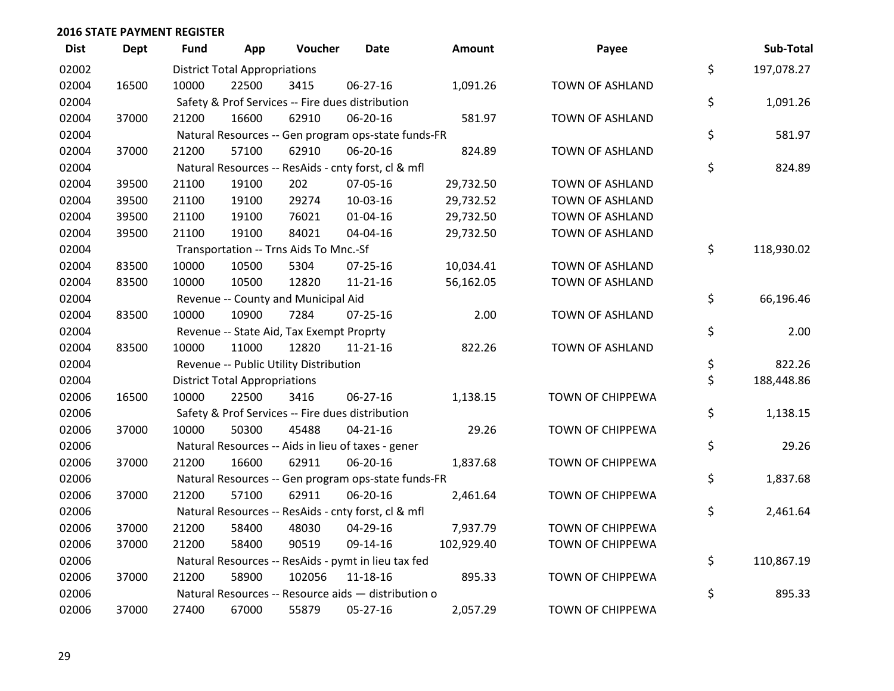| <b>Dist</b> | Dept  | Fund  | App                                  | Voucher                                             | Date           | <b>Amount</b> | Payee                   | Sub-Total        |
|-------------|-------|-------|--------------------------------------|-----------------------------------------------------|----------------|---------------|-------------------------|------------------|
| 02002       |       |       | <b>District Total Appropriations</b> |                                                     |                |               |                         | \$<br>197,078.27 |
| 02004       | 16500 | 10000 | 22500                                | 3415                                                | 06-27-16       | 1,091.26      | TOWN OF ASHLAND         |                  |
| 02004       |       |       |                                      | Safety & Prof Services -- Fire dues distribution    |                |               |                         | \$<br>1,091.26   |
| 02004       | 37000 | 21200 | 16600                                | 62910                                               | 06-20-16       | 581.97        | <b>TOWN OF ASHLAND</b>  |                  |
| 02004       |       |       |                                      | Natural Resources -- Gen program ops-state funds-FR |                |               |                         | \$<br>581.97     |
| 02004       | 37000 | 21200 | 57100                                | 62910                                               | 06-20-16       | 824.89        | TOWN OF ASHLAND         |                  |
| 02004       |       |       |                                      | Natural Resources -- ResAids - cnty forst, cl & mfl |                |               |                         | \$<br>824.89     |
| 02004       | 39500 | 21100 | 19100                                | 202                                                 | 07-05-16       | 29,732.50     | TOWN OF ASHLAND         |                  |
| 02004       | 39500 | 21100 | 19100                                | 29274                                               | 10-03-16       | 29,732.52     | TOWN OF ASHLAND         |                  |
| 02004       | 39500 | 21100 | 19100                                | 76021                                               | $01 - 04 - 16$ | 29,732.50     | TOWN OF ASHLAND         |                  |
| 02004       | 39500 | 21100 | 19100                                | 84021                                               | 04-04-16       | 29,732.50     | TOWN OF ASHLAND         |                  |
| 02004       |       |       |                                      | Transportation -- Trns Aids To Mnc.-Sf              |                |               |                         | \$<br>118,930.02 |
| 02004       | 83500 | 10000 | 10500                                | 5304                                                | $07 - 25 - 16$ | 10,034.41     | TOWN OF ASHLAND         |                  |
| 02004       | 83500 | 10000 | 10500                                | 12820                                               | $11 - 21 - 16$ | 56,162.05     | TOWN OF ASHLAND         |                  |
| 02004       |       |       |                                      | Revenue -- County and Municipal Aid                 |                |               |                         | \$<br>66,196.46  |
| 02004       | 83500 | 10000 | 10900                                | 7284                                                | $07 - 25 - 16$ | 2.00          | TOWN OF ASHLAND         |                  |
| 02004       |       |       |                                      | Revenue -- State Aid, Tax Exempt Proprty            |                |               |                         | \$<br>2.00       |
| 02004       | 83500 | 10000 | 11000                                | 12820                                               | $11 - 21 - 16$ | 822.26        | TOWN OF ASHLAND         |                  |
| 02004       |       |       |                                      | Revenue -- Public Utility Distribution              |                |               |                         | \$<br>822.26     |
| 02004       |       |       | <b>District Total Appropriations</b> |                                                     |                |               |                         | \$<br>188,448.86 |
| 02006       | 16500 | 10000 | 22500                                | 3416                                                | 06-27-16       | 1,138.15      | TOWN OF CHIPPEWA        |                  |
| 02006       |       |       |                                      | Safety & Prof Services -- Fire dues distribution    |                |               |                         | \$<br>1,138.15   |
| 02006       | 37000 | 10000 | 50300                                | 45488                                               | $04 - 21 - 16$ | 29.26         | TOWN OF CHIPPEWA        |                  |
| 02006       |       |       |                                      | Natural Resources -- Aids in lieu of taxes - gener  |                |               |                         | \$<br>29.26      |
| 02006       | 37000 | 21200 | 16600                                | 62911                                               | 06-20-16       | 1,837.68      | TOWN OF CHIPPEWA        |                  |
| 02006       |       |       |                                      | Natural Resources -- Gen program ops-state funds-FR |                |               |                         | \$<br>1,837.68   |
| 02006       | 37000 | 21200 | 57100                                | 62911                                               | 06-20-16       | 2,461.64      | TOWN OF CHIPPEWA        |                  |
| 02006       |       |       |                                      | Natural Resources -- ResAids - cnty forst, cl & mfl |                |               |                         | \$<br>2,461.64   |
| 02006       | 37000 | 21200 | 58400                                | 48030                                               | 04-29-16       | 7,937.79      | TOWN OF CHIPPEWA        |                  |
| 02006       | 37000 | 21200 | 58400                                | 90519                                               | 09-14-16       | 102,929.40    | TOWN OF CHIPPEWA        |                  |
| 02006       |       |       |                                      | Natural Resources -- ResAids - pymt in lieu tax fed |                |               |                         | \$<br>110,867.19 |
| 02006       | 37000 | 21200 | 58900                                | 102056                                              | 11-18-16       | 895.33        | <b>TOWN OF CHIPPEWA</b> |                  |
| 02006       |       |       |                                      | Natural Resources -- Resource aids - distribution o |                |               |                         | \$<br>895.33     |
| 02006       | 37000 | 27400 | 67000                                | 55879                                               | 05-27-16       | 2,057.29      | <b>TOWN OF CHIPPEWA</b> |                  |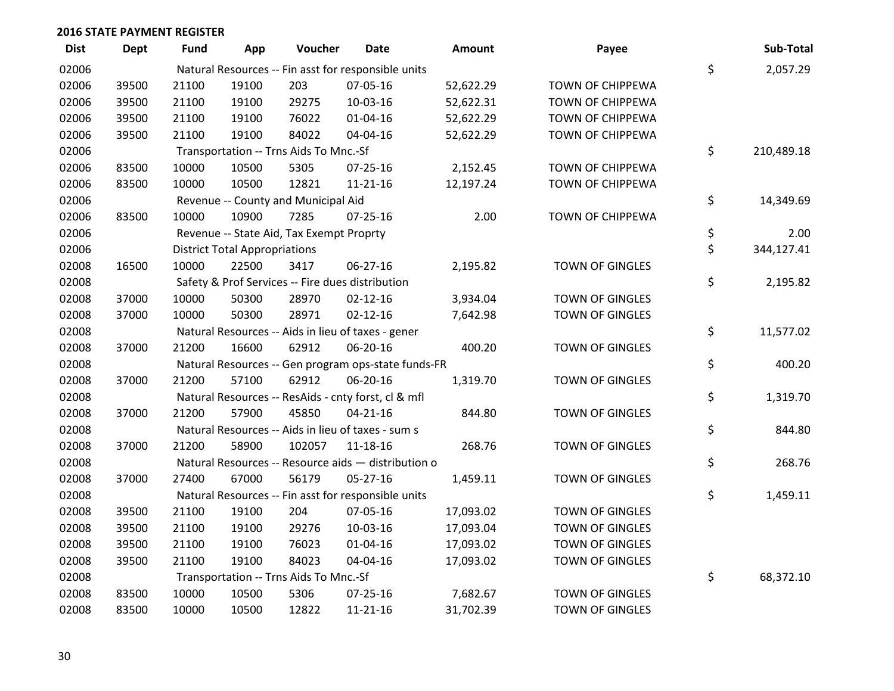| <b>Dist</b> | Dept  | <b>Fund</b> | App                                  | Voucher                                  | <b>Date</b>                                         | Amount    | Payee                  | Sub-Total        |
|-------------|-------|-------------|--------------------------------------|------------------------------------------|-----------------------------------------------------|-----------|------------------------|------------------|
| 02006       |       |             |                                      |                                          | Natural Resources -- Fin asst for responsible units |           |                        | \$<br>2,057.29   |
| 02006       | 39500 | 21100       | 19100                                | 203                                      | 07-05-16                                            | 52,622.29 | TOWN OF CHIPPEWA       |                  |
| 02006       | 39500 | 21100       | 19100                                | 29275                                    | 10-03-16                                            | 52,622.31 | TOWN OF CHIPPEWA       |                  |
| 02006       | 39500 | 21100       | 19100                                | 76022                                    | $01 - 04 - 16$                                      | 52,622.29 | TOWN OF CHIPPEWA       |                  |
| 02006       | 39500 | 21100       | 19100                                | 84022                                    | 04-04-16                                            | 52,622.29 | TOWN OF CHIPPEWA       |                  |
| 02006       |       |             |                                      | Transportation -- Trns Aids To Mnc.-Sf   |                                                     |           |                        | \$<br>210,489.18 |
| 02006       | 83500 | 10000       | 10500                                | 5305                                     | $07 - 25 - 16$                                      | 2,152.45  | TOWN OF CHIPPEWA       |                  |
| 02006       | 83500 | 10000       | 10500                                | 12821                                    | $11 - 21 - 16$                                      | 12,197.24 | TOWN OF CHIPPEWA       |                  |
| 02006       |       |             |                                      | Revenue -- County and Municipal Aid      |                                                     |           |                        | \$<br>14,349.69  |
| 02006       | 83500 | 10000       | 10900                                | 7285                                     | $07 - 25 - 16$                                      | 2.00      | TOWN OF CHIPPEWA       |                  |
| 02006       |       |             |                                      | Revenue -- State Aid, Tax Exempt Proprty |                                                     |           |                        | \$<br>2.00       |
| 02006       |       |             | <b>District Total Appropriations</b> |                                          |                                                     |           |                        | \$<br>344,127.41 |
| 02008       | 16500 | 10000       | 22500                                | 3417                                     | 06-27-16                                            | 2,195.82  | TOWN OF GINGLES        |                  |
| 02008       |       |             |                                      |                                          | Safety & Prof Services -- Fire dues distribution    |           |                        | \$<br>2,195.82   |
| 02008       | 37000 | 10000       | 50300                                | 28970                                    | $02 - 12 - 16$                                      | 3,934.04  | <b>TOWN OF GINGLES</b> |                  |
| 02008       | 37000 | 10000       | 50300                                | 28971                                    | $02 - 12 - 16$                                      | 7,642.98  | <b>TOWN OF GINGLES</b> |                  |
| 02008       |       |             |                                      |                                          | Natural Resources -- Aids in lieu of taxes - gener  |           |                        | \$<br>11,577.02  |
| 02008       | 37000 | 21200       | 16600                                | 62912                                    | 06-20-16                                            | 400.20    | <b>TOWN OF GINGLES</b> |                  |
| 02008       |       |             |                                      |                                          | Natural Resources -- Gen program ops-state funds-FR |           |                        | \$<br>400.20     |
| 02008       | 37000 | 21200       | 57100                                | 62912                                    | 06-20-16                                            | 1,319.70  | TOWN OF GINGLES        |                  |
| 02008       |       |             |                                      |                                          | Natural Resources -- ResAids - cnty forst, cl & mfl |           |                        | \$<br>1,319.70   |
| 02008       | 37000 | 21200       | 57900                                | 45850                                    | $04 - 21 - 16$                                      | 844.80    | TOWN OF GINGLES        |                  |
| 02008       |       |             |                                      |                                          | Natural Resources -- Aids in lieu of taxes - sum s  |           |                        | \$<br>844.80     |
| 02008       | 37000 | 21200       | 58900                                | 102057                                   | $11 - 18 - 16$                                      | 268.76    | TOWN OF GINGLES        |                  |
| 02008       |       |             |                                      |                                          | Natural Resources -- Resource aids - distribution o |           |                        | \$<br>268.76     |
| 02008       | 37000 | 27400       | 67000                                | 56179                                    | 05-27-16                                            | 1,459.11  | TOWN OF GINGLES        |                  |
| 02008       |       |             |                                      |                                          | Natural Resources -- Fin asst for responsible units |           |                        | \$<br>1,459.11   |
| 02008       | 39500 | 21100       | 19100                                | 204                                      | 07-05-16                                            | 17,093.02 | TOWN OF GINGLES        |                  |
| 02008       | 39500 | 21100       | 19100                                | 29276                                    | 10-03-16                                            | 17,093.04 | TOWN OF GINGLES        |                  |
| 02008       | 39500 | 21100       | 19100                                | 76023                                    | $01 - 04 - 16$                                      | 17,093.02 | TOWN OF GINGLES        |                  |
| 02008       | 39500 | 21100       | 19100                                | 84023                                    | 04-04-16                                            | 17,093.02 | TOWN OF GINGLES        |                  |
| 02008       |       |             |                                      | Transportation -- Trns Aids To Mnc.-Sf   |                                                     |           |                        | \$<br>68,372.10  |
| 02008       | 83500 | 10000       | 10500                                | 5306                                     | 07-25-16                                            | 7,682.67  | <b>TOWN OF GINGLES</b> |                  |
| 02008       | 83500 | 10000       | 10500                                | 12822                                    | $11 - 21 - 16$                                      | 31,702.39 | <b>TOWN OF GINGLES</b> |                  |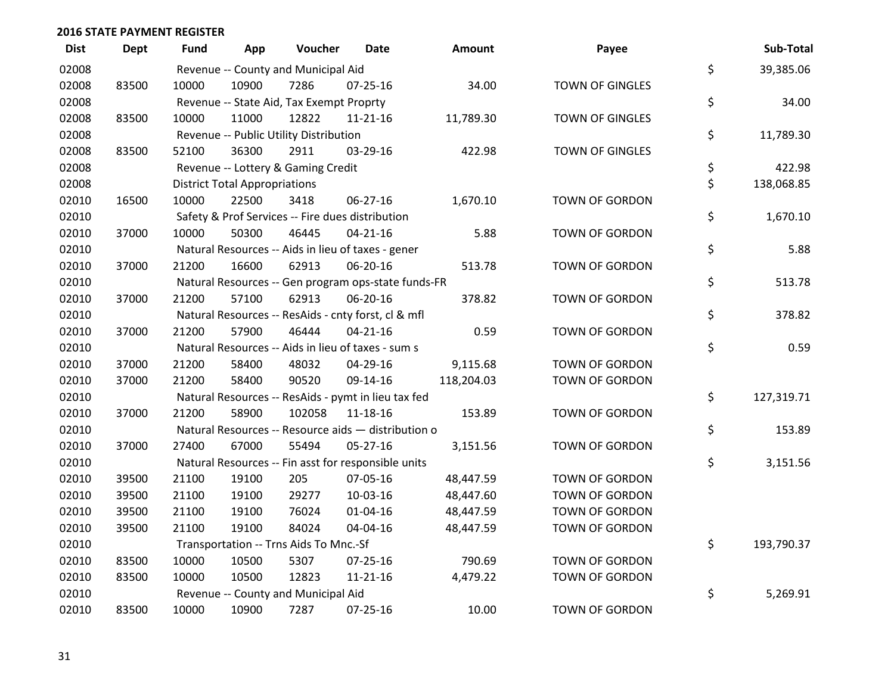| <b>Dist</b> | <b>Dept</b> | Fund  | App                                  | Voucher                                  | Date                                                | Amount     | Payee                  | Sub-Total        |
|-------------|-------------|-------|--------------------------------------|------------------------------------------|-----------------------------------------------------|------------|------------------------|------------------|
| 02008       |             |       |                                      | Revenue -- County and Municipal Aid      |                                                     |            |                        | \$<br>39,385.06  |
| 02008       | 83500       | 10000 | 10900                                | 7286                                     | $07 - 25 - 16$                                      | 34.00      | <b>TOWN OF GINGLES</b> |                  |
| 02008       |             |       |                                      | Revenue -- State Aid, Tax Exempt Proprty |                                                     |            |                        | \$<br>34.00      |
| 02008       | 83500       | 10000 | 11000                                | 12822                                    | $11 - 21 - 16$                                      | 11,789.30  | <b>TOWN OF GINGLES</b> |                  |
| 02008       |             |       |                                      | Revenue -- Public Utility Distribution   |                                                     |            |                        | \$<br>11,789.30  |
| 02008       | 83500       | 52100 | 36300                                | 2911                                     | 03-29-16                                            | 422.98     | TOWN OF GINGLES        |                  |
| 02008       |             |       |                                      | Revenue -- Lottery & Gaming Credit       |                                                     |            |                        | \$<br>422.98     |
| 02008       |             |       | <b>District Total Appropriations</b> |                                          |                                                     |            |                        | \$<br>138,068.85 |
| 02010       | 16500       | 10000 | 22500                                | 3418                                     | 06-27-16                                            | 1,670.10   | TOWN OF GORDON         |                  |
| 02010       |             |       |                                      |                                          | Safety & Prof Services -- Fire dues distribution    |            |                        | \$<br>1,670.10   |
| 02010       | 37000       | 10000 | 50300                                | 46445                                    | $04 - 21 - 16$                                      | 5.88       | TOWN OF GORDON         |                  |
| 02010       |             |       |                                      |                                          | Natural Resources -- Aids in lieu of taxes - gener  |            |                        | \$<br>5.88       |
| 02010       | 37000       | 21200 | 16600                                | 62913                                    | 06-20-16                                            | 513.78     | <b>TOWN OF GORDON</b>  |                  |
| 02010       |             |       |                                      |                                          | Natural Resources -- Gen program ops-state funds-FR |            |                        | \$<br>513.78     |
| 02010       | 37000       | 21200 | 57100                                | 62913                                    | 06-20-16                                            | 378.82     | TOWN OF GORDON         |                  |
| 02010       |             |       |                                      |                                          | Natural Resources -- ResAids - cnty forst, cl & mfl |            |                        | \$<br>378.82     |
| 02010       | 37000       | 21200 | 57900                                | 46444                                    | $04 - 21 - 16$                                      | 0.59       | <b>TOWN OF GORDON</b>  |                  |
| 02010       |             |       |                                      |                                          | Natural Resources -- Aids in lieu of taxes - sum s  |            |                        | \$<br>0.59       |
| 02010       | 37000       | 21200 | 58400                                | 48032                                    | 04-29-16                                            | 9,115.68   | TOWN OF GORDON         |                  |
| 02010       | 37000       | 21200 | 58400                                | 90520                                    | 09-14-16                                            | 118,204.03 | TOWN OF GORDON         |                  |
| 02010       |             |       |                                      |                                          | Natural Resources -- ResAids - pymt in lieu tax fed |            |                        | \$<br>127,319.71 |
| 02010       | 37000       | 21200 | 58900                                | 102058                                   | 11-18-16                                            | 153.89     | TOWN OF GORDON         |                  |
| 02010       |             |       |                                      |                                          | Natural Resources -- Resource aids - distribution o |            |                        | \$<br>153.89     |
| 02010       | 37000       | 27400 | 67000                                | 55494                                    | $05 - 27 - 16$                                      | 3,151.56   | TOWN OF GORDON         |                  |
| 02010       |             |       |                                      |                                          | Natural Resources -- Fin asst for responsible units |            |                        | \$<br>3,151.56   |
| 02010       | 39500       | 21100 | 19100                                | 205                                      | 07-05-16                                            | 48,447.59  | <b>TOWN OF GORDON</b>  |                  |
| 02010       | 39500       | 21100 | 19100                                | 29277                                    | 10-03-16                                            | 48,447.60  | TOWN OF GORDON         |                  |
| 02010       | 39500       | 21100 | 19100                                | 76024                                    | 01-04-16                                            | 48,447.59  | TOWN OF GORDON         |                  |
| 02010       | 39500       | 21100 | 19100                                | 84024                                    | 04-04-16                                            | 48,447.59  | TOWN OF GORDON         |                  |
| 02010       |             |       |                                      | Transportation -- Trns Aids To Mnc.-Sf   |                                                     |            |                        | \$<br>193,790.37 |
| 02010       | 83500       | 10000 | 10500                                | 5307                                     | $07 - 25 - 16$                                      | 790.69     | <b>TOWN OF GORDON</b>  |                  |
| 02010       | 83500       | 10000 | 10500                                | 12823                                    | $11 - 21 - 16$                                      | 4,479.22   | TOWN OF GORDON         |                  |
| 02010       |             |       |                                      | Revenue -- County and Municipal Aid      |                                                     |            |                        | \$<br>5,269.91   |
| 02010       | 83500       | 10000 | 10900                                | 7287                                     | 07-25-16                                            | 10.00      | <b>TOWN OF GORDON</b>  |                  |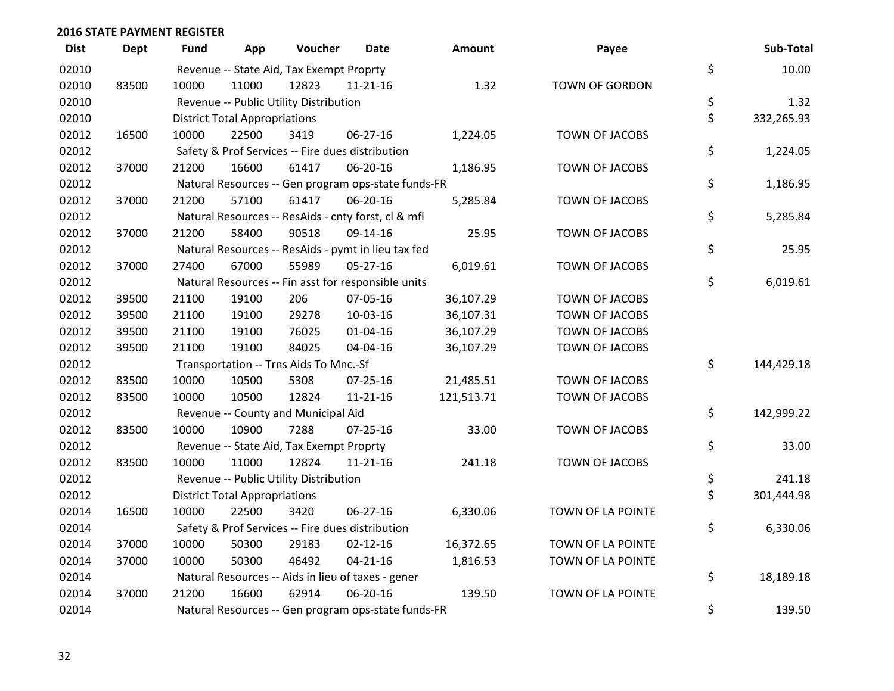| <b>Dist</b> | <b>Dept</b> | <b>Fund</b> | App                                  | Voucher                                  | <b>Date</b>                                         | <b>Amount</b> | Payee                 | Sub-Total        |
|-------------|-------------|-------------|--------------------------------------|------------------------------------------|-----------------------------------------------------|---------------|-----------------------|------------------|
| 02010       |             |             |                                      | Revenue -- State Aid, Tax Exempt Proprty |                                                     |               |                       | \$<br>10.00      |
| 02010       | 83500       | 10000       | 11000                                | 12823                                    | $11 - 21 - 16$                                      | 1.32          | TOWN OF GORDON        |                  |
| 02010       |             |             |                                      | Revenue -- Public Utility Distribution   |                                                     |               |                       | \$<br>1.32       |
| 02010       |             |             | <b>District Total Appropriations</b> |                                          |                                                     |               |                       | \$<br>332,265.93 |
| 02012       | 16500       | 10000       | 22500                                | 3419                                     | 06-27-16                                            | 1,224.05      | TOWN OF JACOBS        |                  |
| 02012       |             |             |                                      |                                          | Safety & Prof Services -- Fire dues distribution    |               |                       | \$<br>1,224.05   |
| 02012       | 37000       | 21200       | 16600                                | 61417                                    | 06-20-16                                            | 1,186.95      | TOWN OF JACOBS        |                  |
| 02012       |             |             |                                      |                                          | Natural Resources -- Gen program ops-state funds-FR |               |                       | \$<br>1,186.95   |
| 02012       | 37000       | 21200       | 57100                                | 61417                                    | 06-20-16                                            | 5,285.84      | <b>TOWN OF JACOBS</b> |                  |
| 02012       |             |             |                                      |                                          | Natural Resources -- ResAids - cnty forst, cl & mfl |               |                       | \$<br>5,285.84   |
| 02012       | 37000       | 21200       | 58400                                | 90518                                    | 09-14-16                                            | 25.95         | TOWN OF JACOBS        |                  |
| 02012       |             |             |                                      |                                          | Natural Resources -- ResAids - pymt in lieu tax fed |               |                       | \$<br>25.95      |
| 02012       | 37000       | 27400       | 67000                                | 55989                                    | $05 - 27 - 16$                                      | 6,019.61      | TOWN OF JACOBS        |                  |
| 02012       |             |             |                                      |                                          | Natural Resources -- Fin asst for responsible units |               |                       | \$<br>6,019.61   |
| 02012       | 39500       | 21100       | 19100                                | 206                                      | 07-05-16                                            | 36,107.29     | TOWN OF JACOBS        |                  |
| 02012       | 39500       | 21100       | 19100                                | 29278                                    | 10-03-16                                            | 36,107.31     | TOWN OF JACOBS        |                  |
| 02012       | 39500       | 21100       | 19100                                | 76025                                    | $01 - 04 - 16$                                      | 36,107.29     | <b>TOWN OF JACOBS</b> |                  |
| 02012       | 39500       | 21100       | 19100                                | 84025                                    | 04-04-16                                            | 36,107.29     | TOWN OF JACOBS        |                  |
| 02012       |             |             |                                      | Transportation -- Trns Aids To Mnc.-Sf   |                                                     |               |                       | \$<br>144,429.18 |
| 02012       | 83500       | 10000       | 10500                                | 5308                                     | $07 - 25 - 16$                                      | 21,485.51     | TOWN OF JACOBS        |                  |
| 02012       | 83500       | 10000       | 10500                                | 12824                                    | 11-21-16                                            | 121,513.71    | TOWN OF JACOBS        |                  |
| 02012       |             |             |                                      | Revenue -- County and Municipal Aid      |                                                     |               |                       | \$<br>142,999.22 |
| 02012       | 83500       | 10000       | 10900                                | 7288                                     | $07 - 25 - 16$                                      | 33.00         | TOWN OF JACOBS        |                  |
| 02012       |             |             |                                      | Revenue -- State Aid, Tax Exempt Proprty |                                                     |               |                       | \$<br>33.00      |
| 02012       | 83500       | 10000       | 11000                                | 12824                                    | 11-21-16                                            | 241.18        | TOWN OF JACOBS        |                  |
| 02012       |             |             |                                      | Revenue -- Public Utility Distribution   |                                                     |               |                       | \$<br>241.18     |
| 02012       |             |             | <b>District Total Appropriations</b> |                                          |                                                     |               |                       | \$<br>301,444.98 |
| 02014       | 16500       | 10000       | 22500                                | 3420                                     | 06-27-16                                            | 6,330.06      | TOWN OF LA POINTE     |                  |
| 02014       |             |             |                                      |                                          | Safety & Prof Services -- Fire dues distribution    |               |                       | \$<br>6,330.06   |
| 02014       | 37000       | 10000       | 50300                                | 29183                                    | $02 - 12 - 16$                                      | 16,372.65     | TOWN OF LA POINTE     |                  |
| 02014       | 37000       | 10000       | 50300                                | 46492                                    | $04 - 21 - 16$                                      | 1,816.53      | TOWN OF LA POINTE     |                  |
| 02014       |             |             |                                      |                                          | Natural Resources -- Aids in lieu of taxes - gener  |               |                       | \$<br>18,189.18  |
| 02014       | 37000       | 21200       | 16600                                | 62914                                    | 06-20-16                                            | 139.50        | TOWN OF LA POINTE     |                  |
| 02014       |             |             |                                      |                                          | Natural Resources -- Gen program ops-state funds-FR |               |                       | \$<br>139.50     |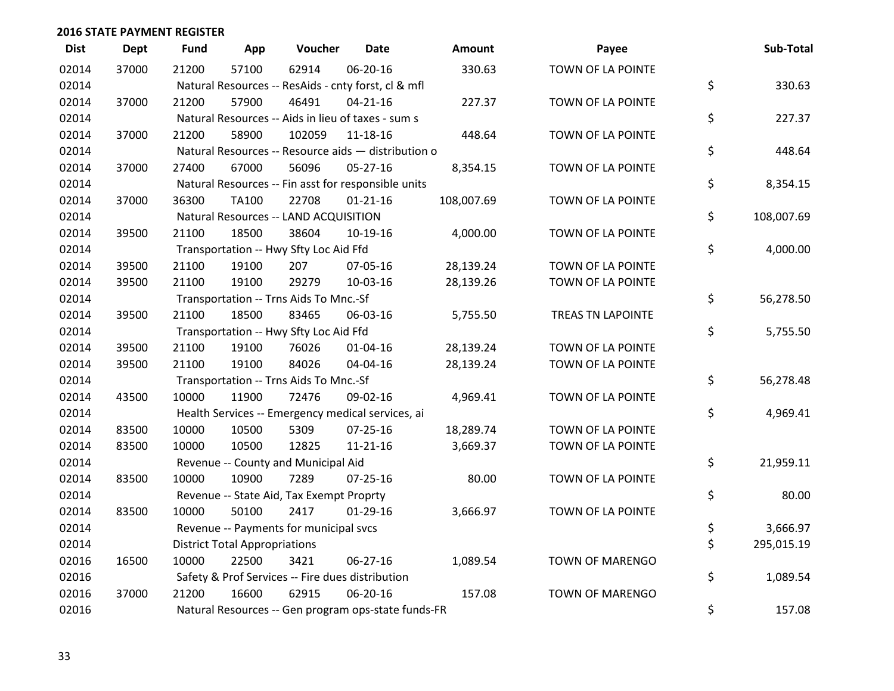| <b>Dist</b> | <b>Dept</b> | <b>Fund</b> | App                                  | Voucher                                             | <b>Date</b>    | Amount     | Payee                  | Sub-Total        |
|-------------|-------------|-------------|--------------------------------------|-----------------------------------------------------|----------------|------------|------------------------|------------------|
| 02014       | 37000       | 21200       | 57100                                | 62914                                               | 06-20-16       | 330.63     | TOWN OF LA POINTE      |                  |
| 02014       |             |             |                                      | Natural Resources -- ResAids - cnty forst, cl & mfl |                |            |                        | \$<br>330.63     |
| 02014       | 37000       | 21200       | 57900                                | 46491                                               | $04 - 21 - 16$ | 227.37     | TOWN OF LA POINTE      |                  |
| 02014       |             |             |                                      | Natural Resources -- Aids in lieu of taxes - sum s  |                |            |                        | \$<br>227.37     |
| 02014       | 37000       | 21200       | 58900                                | 102059                                              | 11-18-16       | 448.64     | TOWN OF LA POINTE      |                  |
| 02014       |             |             |                                      | Natural Resources -- Resource aids - distribution o |                |            |                        | \$<br>448.64     |
| 02014       | 37000       | 27400       | 67000                                | 56096                                               | $05 - 27 - 16$ | 8,354.15   | TOWN OF LA POINTE      |                  |
| 02014       |             |             |                                      | Natural Resources -- Fin asst for responsible units |                |            |                        | \$<br>8,354.15   |
| 02014       | 37000       | 36300       | <b>TA100</b>                         | 22708                                               | $01 - 21 - 16$ | 108,007.69 | TOWN OF LA POINTE      |                  |
| 02014       |             |             |                                      | Natural Resources -- LAND ACQUISITION               |                |            |                        | \$<br>108,007.69 |
| 02014       | 39500       | 21100       | 18500                                | 38604                                               | 10-19-16       | 4,000.00   | TOWN OF LA POINTE      |                  |
| 02014       |             |             |                                      | Transportation -- Hwy Sfty Loc Aid Ffd              |                |            |                        | \$<br>4,000.00   |
| 02014       | 39500       | 21100       | 19100                                | 207                                                 | 07-05-16       | 28,139.24  | TOWN OF LA POINTE      |                  |
| 02014       | 39500       | 21100       | 19100                                | 29279                                               | 10-03-16       | 28,139.26  | TOWN OF LA POINTE      |                  |
| 02014       |             |             |                                      | Transportation -- Trns Aids To Mnc.-Sf              |                |            |                        | \$<br>56,278.50  |
| 02014       | 39500       | 21100       | 18500                                | 83465                                               | 06-03-16       | 5,755.50   | TREAS TN LAPOINTE      |                  |
| 02014       |             |             |                                      | Transportation -- Hwy Sfty Loc Aid Ffd              |                |            |                        | \$<br>5,755.50   |
| 02014       | 39500       | 21100       | 19100                                | 76026                                               | $01 - 04 - 16$ | 28,139.24  | TOWN OF LA POINTE      |                  |
| 02014       | 39500       | 21100       | 19100                                | 84026                                               | 04-04-16       | 28,139.24  | TOWN OF LA POINTE      |                  |
| 02014       |             |             |                                      | Transportation -- Trns Aids To Mnc.-Sf              |                |            |                        | \$<br>56,278.48  |
| 02014       | 43500       | 10000       | 11900                                | 72476                                               | 09-02-16       | 4,969.41   | TOWN OF LA POINTE      |                  |
| 02014       |             |             |                                      | Health Services -- Emergency medical services, ai   |                |            |                        | \$<br>4,969.41   |
| 02014       | 83500       | 10000       | 10500                                | 5309                                                | $07 - 25 - 16$ | 18,289.74  | TOWN OF LA POINTE      |                  |
| 02014       | 83500       | 10000       | 10500                                | 12825                                               | $11 - 21 - 16$ | 3,669.37   | TOWN OF LA POINTE      |                  |
| 02014       |             |             |                                      | Revenue -- County and Municipal Aid                 |                |            |                        | \$<br>21,959.11  |
| 02014       | 83500       | 10000       | 10900                                | 7289                                                | $07 - 25 - 16$ | 80.00      | TOWN OF LA POINTE      |                  |
| 02014       |             |             |                                      | Revenue -- State Aid, Tax Exempt Proprty            |                |            |                        | \$<br>80.00      |
| 02014       | 83500       | 10000       | 50100                                | 2417                                                | $01-29-16$     | 3,666.97   | TOWN OF LA POINTE      |                  |
| 02014       |             |             |                                      | Revenue -- Payments for municipal svcs              |                |            |                        | \$<br>3,666.97   |
| 02014       |             |             | <b>District Total Appropriations</b> |                                                     |                |            |                        | \$<br>295,015.19 |
| 02016       | 16500       | 10000       | 22500                                | 3421                                                | 06-27-16       | 1,089.54   | TOWN OF MARENGO        |                  |
| 02016       |             |             |                                      | Safety & Prof Services -- Fire dues distribution    |                |            |                        | \$<br>1,089.54   |
| 02016       | 37000       | 21200       | 16600                                | 62915                                               | 06-20-16       | 157.08     | <b>TOWN OF MARENGO</b> |                  |
| 02016       |             |             |                                      | Natural Resources -- Gen program ops-state funds-FR |                |            |                        | \$<br>157.08     |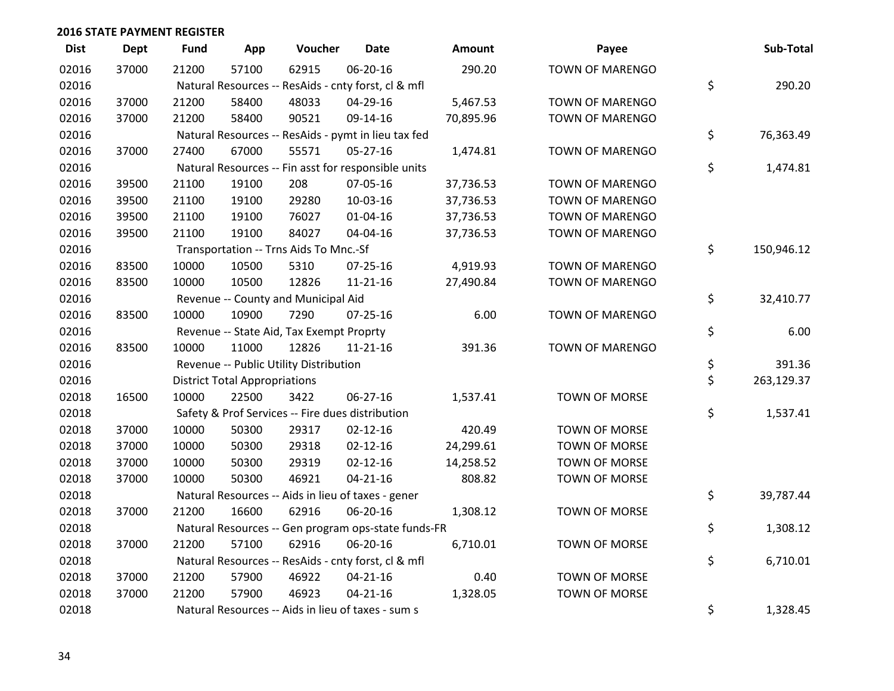| <b>Dist</b> | <b>Dept</b> | <b>Fund</b> | App                                  | Voucher                                  | <b>Date</b>                                         | Amount    | Payee                  | Sub-Total        |
|-------------|-------------|-------------|--------------------------------------|------------------------------------------|-----------------------------------------------------|-----------|------------------------|------------------|
| 02016       | 37000       | 21200       | 57100                                | 62915                                    | 06-20-16                                            | 290.20    | <b>TOWN OF MARENGO</b> |                  |
| 02016       |             |             |                                      |                                          | Natural Resources -- ResAids - cnty forst, cl & mfl |           |                        | \$<br>290.20     |
| 02016       | 37000       | 21200       | 58400                                | 48033                                    | 04-29-16                                            | 5,467.53  | <b>TOWN OF MARENGO</b> |                  |
| 02016       | 37000       | 21200       | 58400                                | 90521                                    | 09-14-16                                            | 70,895.96 | <b>TOWN OF MARENGO</b> |                  |
| 02016       |             |             |                                      |                                          | Natural Resources -- ResAids - pymt in lieu tax fed |           |                        | \$<br>76,363.49  |
| 02016       | 37000       | 27400       | 67000                                | 55571                                    | $05 - 27 - 16$                                      | 1,474.81  | TOWN OF MARENGO        |                  |
| 02016       |             |             |                                      |                                          | Natural Resources -- Fin asst for responsible units |           |                        | \$<br>1,474.81   |
| 02016       | 39500       | 21100       | 19100                                | 208                                      | 07-05-16                                            | 37,736.53 | <b>TOWN OF MARENGO</b> |                  |
| 02016       | 39500       | 21100       | 19100                                | 29280                                    | 10-03-16                                            | 37,736.53 | <b>TOWN OF MARENGO</b> |                  |
| 02016       | 39500       | 21100       | 19100                                | 76027                                    | 01-04-16                                            | 37,736.53 | TOWN OF MARENGO        |                  |
| 02016       | 39500       | 21100       | 19100                                | 84027                                    | 04-04-16                                            | 37,736.53 | TOWN OF MARENGO        |                  |
| 02016       |             |             |                                      | Transportation -- Trns Aids To Mnc.-Sf   |                                                     |           |                        | \$<br>150,946.12 |
| 02016       | 83500       | 10000       | 10500                                | 5310                                     | $07 - 25 - 16$                                      | 4,919.93  | <b>TOWN OF MARENGO</b> |                  |
| 02016       | 83500       | 10000       | 10500                                | 12826                                    | $11 - 21 - 16$                                      | 27,490.84 | TOWN OF MARENGO        |                  |
| 02016       |             |             |                                      | Revenue -- County and Municipal Aid      |                                                     |           |                        | \$<br>32,410.77  |
| 02016       | 83500       | 10000       | 10900                                | 7290                                     | $07 - 25 - 16$                                      | 6.00      | <b>TOWN OF MARENGO</b> |                  |
| 02016       |             |             |                                      | Revenue -- State Aid, Tax Exempt Proprty |                                                     |           |                        | \$<br>6.00       |
| 02016       | 83500       | 10000       | 11000                                | 12826                                    | $11 - 21 - 16$                                      | 391.36    | TOWN OF MARENGO        |                  |
| 02016       |             |             |                                      | Revenue -- Public Utility Distribution   |                                                     |           |                        | \$<br>391.36     |
| 02016       |             |             | <b>District Total Appropriations</b> |                                          |                                                     |           |                        | \$<br>263,129.37 |
| 02018       | 16500       | 10000       | 22500                                | 3422                                     | 06-27-16                                            | 1,537.41  | TOWN OF MORSE          |                  |
| 02018       |             |             |                                      |                                          | Safety & Prof Services -- Fire dues distribution    |           |                        | \$<br>1,537.41   |
| 02018       | 37000       | 10000       | 50300                                | 29317                                    | $02 - 12 - 16$                                      | 420.49    | <b>TOWN OF MORSE</b>   |                  |
| 02018       | 37000       | 10000       | 50300                                | 29318                                    | $02 - 12 - 16$                                      | 24,299.61 | TOWN OF MORSE          |                  |
| 02018       | 37000       | 10000       | 50300                                | 29319                                    | $02 - 12 - 16$                                      | 14,258.52 | TOWN OF MORSE          |                  |
| 02018       | 37000       | 10000       | 50300                                | 46921                                    | $04 - 21 - 16$                                      | 808.82    | TOWN OF MORSE          |                  |
| 02018       |             |             |                                      |                                          | Natural Resources -- Aids in lieu of taxes - gener  |           |                        | \$<br>39,787.44  |
| 02018       | 37000       | 21200       | 16600                                | 62916                                    | 06-20-16                                            | 1,308.12  | TOWN OF MORSE          |                  |
| 02018       |             |             |                                      |                                          | Natural Resources -- Gen program ops-state funds-FR |           |                        | \$<br>1,308.12   |
| 02018       | 37000       | 21200       | 57100                                | 62916                                    | 06-20-16                                            | 6,710.01  | TOWN OF MORSE          |                  |
| 02018       |             |             |                                      |                                          | Natural Resources -- ResAids - cnty forst, cl & mfl |           |                        | \$<br>6,710.01   |
| 02018       | 37000       | 21200       | 57900                                | 46922                                    | $04 - 21 - 16$                                      | 0.40      | TOWN OF MORSE          |                  |
| 02018       | 37000       | 21200       | 57900                                | 46923                                    | $04 - 21 - 16$                                      | 1,328.05  | <b>TOWN OF MORSE</b>   |                  |
| 02018       |             |             |                                      |                                          | Natural Resources -- Aids in lieu of taxes - sum s  |           |                        | \$<br>1,328.45   |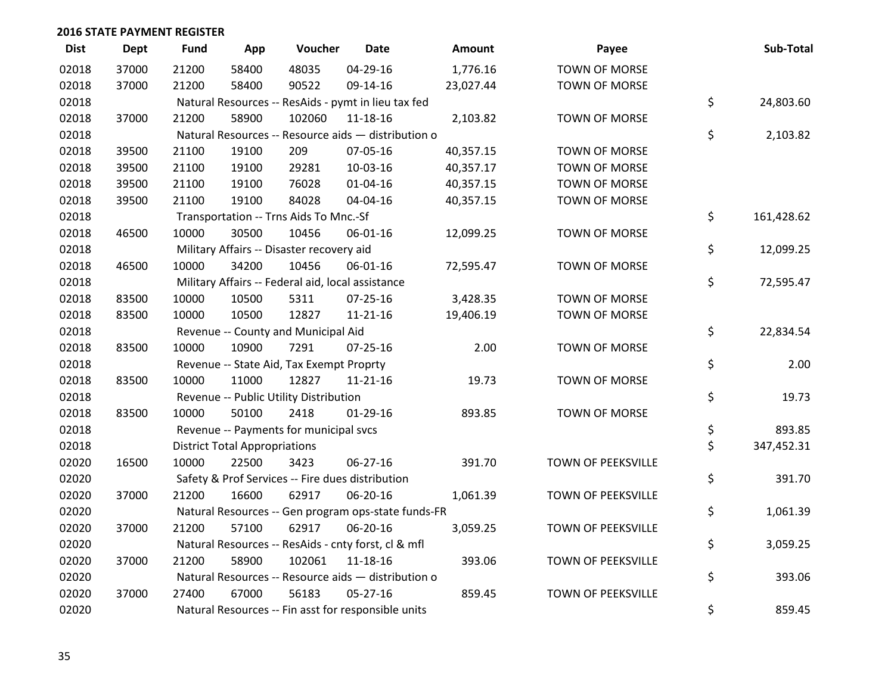| <b>Dist</b> | Dept  | <b>Fund</b> | App                                                 | Voucher                                           | <b>Date</b>                                         | Amount    | Payee                     | Sub-Total        |
|-------------|-------|-------------|-----------------------------------------------------|---------------------------------------------------|-----------------------------------------------------|-----------|---------------------------|------------------|
| 02018       | 37000 | 21200       | 58400                                               | 48035                                             | 04-29-16                                            | 1,776.16  | <b>TOWN OF MORSE</b>      |                  |
| 02018       | 37000 | 21200       | 58400                                               | 90522                                             | 09-14-16                                            | 23,027.44 | TOWN OF MORSE             |                  |
| 02018       |       |             |                                                     |                                                   | Natural Resources -- ResAids - pymt in lieu tax fed |           |                           | \$<br>24,803.60  |
| 02018       | 37000 | 21200       | 58900                                               | 102060                                            | 11-18-16                                            | 2,103.82  | TOWN OF MORSE             |                  |
| 02018       |       |             | Natural Resources -- Resource aids - distribution o | \$<br>2,103.82                                    |                                                     |           |                           |                  |
| 02018       | 39500 | 21100       | 19100                                               | 209                                               | 07-05-16                                            | 40,357.15 | TOWN OF MORSE             |                  |
| 02018       | 39500 | 21100       | 19100                                               | 29281                                             | 10-03-16                                            | 40,357.17 | <b>TOWN OF MORSE</b>      |                  |
| 02018       | 39500 | 21100       | 19100                                               | 76028                                             | $01 - 04 - 16$                                      | 40,357.15 | TOWN OF MORSE             |                  |
| 02018       | 39500 | 21100       | 19100                                               | 84028                                             | 04-04-16                                            | 40,357.15 | TOWN OF MORSE             |                  |
| 02018       |       |             |                                                     | Transportation -- Trns Aids To Mnc.-Sf            |                                                     |           |                           | \$<br>161,428.62 |
| 02018       | 46500 | 10000       | 30500                                               | 10456                                             | 06-01-16                                            | 12,099.25 | TOWN OF MORSE             |                  |
| 02018       |       |             |                                                     | Military Affairs -- Disaster recovery aid         |                                                     |           |                           | \$<br>12,099.25  |
| 02018       | 46500 | 10000       | 34200                                               | 10456                                             | 06-01-16                                            | 72,595.47 | <b>TOWN OF MORSE</b>      |                  |
| 02018       |       |             |                                                     | Military Affairs -- Federal aid, local assistance |                                                     |           |                           | \$<br>72,595.47  |
| 02018       | 83500 | 10000       | 10500                                               | 5311                                              | $07 - 25 - 16$                                      | 3,428.35  | <b>TOWN OF MORSE</b>      |                  |
| 02018       | 83500 | 10000       | 10500                                               | 12827                                             | $11 - 21 - 16$                                      | 19,406.19 | TOWN OF MORSE             |                  |
| 02018       |       |             |                                                     | Revenue -- County and Municipal Aid               |                                                     |           |                           | \$<br>22,834.54  |
| 02018       | 83500 | 10000       | 10900                                               | 7291                                              | $07 - 25 - 16$                                      | 2.00      | <b>TOWN OF MORSE</b>      |                  |
| 02018       |       |             |                                                     | Revenue -- State Aid, Tax Exempt Proprty          |                                                     |           |                           | \$<br>2.00       |
| 02018       | 83500 | 10000       | 11000                                               | 12827                                             | $11 - 21 - 16$                                      | 19.73     | TOWN OF MORSE             |                  |
| 02018       |       |             |                                                     | Revenue -- Public Utility Distribution            |                                                     |           |                           | \$<br>19.73      |
| 02018       | 83500 | 10000       | 50100                                               | 2418                                              | $01-29-16$                                          | 893.85    | <b>TOWN OF MORSE</b>      |                  |
| 02018       |       |             |                                                     | Revenue -- Payments for municipal svcs            |                                                     |           |                           | \$<br>893.85     |
| 02018       |       |             | <b>District Total Appropriations</b>                |                                                   |                                                     |           |                           | \$<br>347,452.31 |
| 02020       | 16500 | 10000       | 22500                                               | 3423                                              | 06-27-16                                            | 391.70    | TOWN OF PEEKSVILLE        |                  |
| 02020       |       |             |                                                     |                                                   | Safety & Prof Services -- Fire dues distribution    |           |                           | \$<br>391.70     |
| 02020       | 37000 | 21200       | 16600                                               | 62917                                             | 06-20-16                                            | 1,061.39  | TOWN OF PEEKSVILLE        |                  |
| 02020       |       |             |                                                     |                                                   | Natural Resources -- Gen program ops-state funds-FR |           |                           | \$<br>1,061.39   |
| 02020       | 37000 | 21200       | 57100                                               | 62917                                             | 06-20-16                                            | 3,059.25  | TOWN OF PEEKSVILLE        |                  |
| 02020       |       |             |                                                     |                                                   | Natural Resources -- ResAids - cnty forst, cl & mfl |           |                           | \$<br>3,059.25   |
| 02020       | 37000 | 21200       | 58900                                               | 102061                                            | 11-18-16                                            | 393.06    | TOWN OF PEEKSVILLE        |                  |
| 02020       |       |             |                                                     |                                                   | Natural Resources -- Resource aids - distribution o |           |                           | \$<br>393.06     |
| 02020       | 37000 | 27400       | 67000                                               | 56183                                             | $05 - 27 - 16$                                      | 859.45    | <b>TOWN OF PEEKSVILLE</b> |                  |
| 02020       |       |             |                                                     |                                                   | Natural Resources -- Fin asst for responsible units |           |                           | \$<br>859.45     |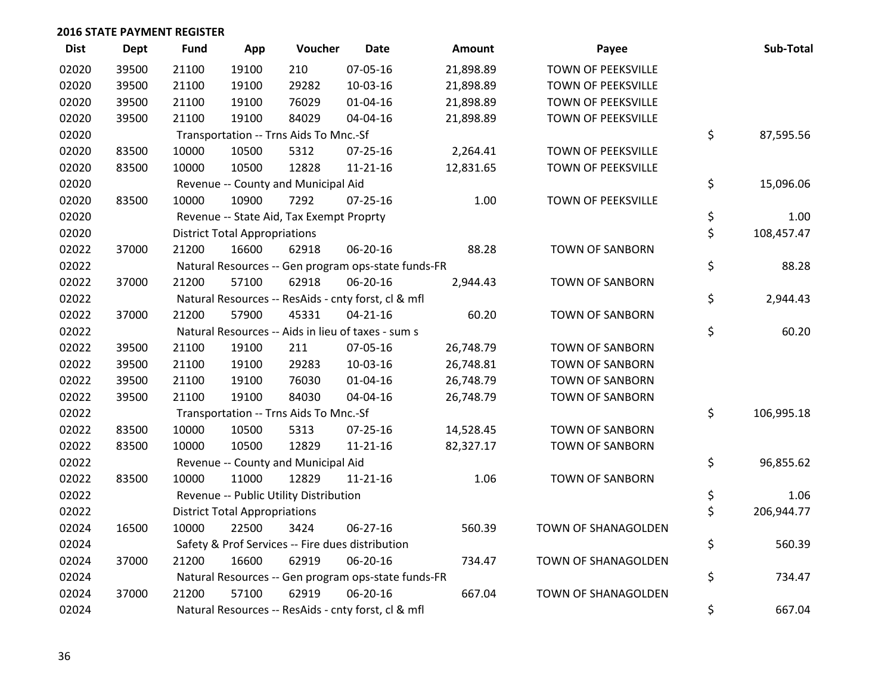| <b>Dist</b> | Dept  | <b>Fund</b> | App                                                 | Voucher                                | <b>Date</b>                                         | <b>Amount</b> | Payee                     |    | Sub-Total  |  |  |
|-------------|-------|-------------|-----------------------------------------------------|----------------------------------------|-----------------------------------------------------|---------------|---------------------------|----|------------|--|--|
| 02020       | 39500 | 21100       | 19100                                               | 210                                    | 07-05-16                                            | 21,898.89     | <b>TOWN OF PEEKSVILLE</b> |    |            |  |  |
| 02020       | 39500 | 21100       | 19100                                               | 29282                                  | 10-03-16                                            | 21,898.89     | TOWN OF PEEKSVILLE        |    |            |  |  |
| 02020       | 39500 | 21100       | 19100                                               | 76029                                  | $01 - 04 - 16$                                      | 21,898.89     | <b>TOWN OF PEEKSVILLE</b> |    |            |  |  |
| 02020       | 39500 | 21100       | 19100                                               | 84029                                  | 04-04-16                                            | 21,898.89     | TOWN OF PEEKSVILLE        |    |            |  |  |
| 02020       |       |             |                                                     | Transportation -- Trns Aids To Mnc.-Sf |                                                     |               |                           | \$ | 87,595.56  |  |  |
| 02020       | 83500 | 10000       | 10500                                               | 5312                                   | $07 - 25 - 16$                                      | 2,264.41      | <b>TOWN OF PEEKSVILLE</b> |    |            |  |  |
| 02020       | 83500 | 10000       | 10500                                               | 12828                                  | $11 - 21 - 16$                                      | 12,831.65     | <b>TOWN OF PEEKSVILLE</b> |    |            |  |  |
| 02020       |       |             | Revenue -- County and Municipal Aid                 |                                        |                                                     |               |                           |    |            |  |  |
| 02020       | 83500 | 10000       | 10900                                               | 7292                                   | $07 - 25 - 16$                                      | 1.00          | TOWN OF PEEKSVILLE        |    |            |  |  |
| 02020       |       |             | Revenue -- State Aid, Tax Exempt Proprty            |                                        |                                                     |               |                           |    |            |  |  |
| 02020       |       |             | <b>District Total Appropriations</b>                |                                        |                                                     |               |                           |    |            |  |  |
| 02022       | 37000 | 21200       | 16600                                               | 62918                                  | 06-20-16                                            | 88.28         | <b>TOWN OF SANBORN</b>    |    |            |  |  |
| 02022       |       |             |                                                     |                                        | Natural Resources -- Gen program ops-state funds-FR |               |                           | \$ | 88.28      |  |  |
| 02022       | 37000 | 21200       | 57100                                               | 62918                                  | 06-20-16                                            | 2,944.43      | <b>TOWN OF SANBORN</b>    |    |            |  |  |
| 02022       |       |             |                                                     |                                        | Natural Resources -- ResAids - cnty forst, cl & mfl |               |                           | \$ | 2,944.43   |  |  |
| 02022       | 37000 | 21200       | 57900                                               | 45331                                  | $04 - 21 - 16$                                      | 60.20         | <b>TOWN OF SANBORN</b>    |    |            |  |  |
| 02022       |       |             |                                                     |                                        | Natural Resources -- Aids in lieu of taxes - sum s  |               |                           | \$ | 60.20      |  |  |
| 02022       | 39500 | 21100       | 19100                                               | 211                                    | 07-05-16                                            | 26,748.79     | <b>TOWN OF SANBORN</b>    |    |            |  |  |
| 02022       | 39500 | 21100       | 19100                                               | 29283                                  | 10-03-16                                            | 26,748.81     | <b>TOWN OF SANBORN</b>    |    |            |  |  |
| 02022       | 39500 | 21100       | 19100                                               | 76030                                  | $01 - 04 - 16$                                      | 26,748.79     | <b>TOWN OF SANBORN</b>    |    |            |  |  |
| 02022       | 39500 | 21100       | 19100                                               | 84030                                  | 04-04-16                                            | 26,748.79     | <b>TOWN OF SANBORN</b>    |    |            |  |  |
| 02022       |       |             |                                                     | Transportation -- Trns Aids To Mnc.-Sf |                                                     |               |                           | \$ | 106,995.18 |  |  |
| 02022       | 83500 | 10000       | 10500                                               | 5313                                   | $07 - 25 - 16$                                      | 14,528.45     | <b>TOWN OF SANBORN</b>    |    |            |  |  |
| 02022       | 83500 | 10000       | 10500                                               | 12829                                  | $11 - 21 - 16$                                      | 82,327.17     | <b>TOWN OF SANBORN</b>    |    |            |  |  |
| 02022       |       |             |                                                     | Revenue -- County and Municipal Aid    |                                                     |               |                           | \$ | 96,855.62  |  |  |
| 02022       | 83500 | 10000       | 11000                                               | 12829                                  | $11 - 21 - 16$                                      | 1.06          | <b>TOWN OF SANBORN</b>    |    |            |  |  |
| 02022       |       |             |                                                     | Revenue -- Public Utility Distribution |                                                     |               |                           | \$ | 1.06       |  |  |
| 02022       |       |             | <b>District Total Appropriations</b>                |                                        |                                                     |               |                           | \$ | 206,944.77 |  |  |
| 02024       | 16500 | 10000       | 22500                                               | 3424                                   | 06-27-16                                            | 560.39        | TOWN OF SHANAGOLDEN       |    |            |  |  |
| 02024       |       |             |                                                     |                                        | Safety & Prof Services -- Fire dues distribution    |               |                           | \$ | 560.39     |  |  |
| 02024       | 37000 | 21200       | 16600                                               | 62919                                  | 06-20-16                                            | 734.47        | TOWN OF SHANAGOLDEN       |    |            |  |  |
| 02024       |       |             |                                                     |                                        | Natural Resources -- Gen program ops-state funds-FR |               |                           | \$ | 734.47     |  |  |
| 02024       | 37000 | 21200       | 57100                                               | 62919                                  | 06-20-16                                            | 667.04        | TOWN OF SHANAGOLDEN       |    |            |  |  |
| 02024       |       |             | Natural Resources -- ResAids - cnty forst, cl & mfl | \$                                     | 667.04                                              |               |                           |    |            |  |  |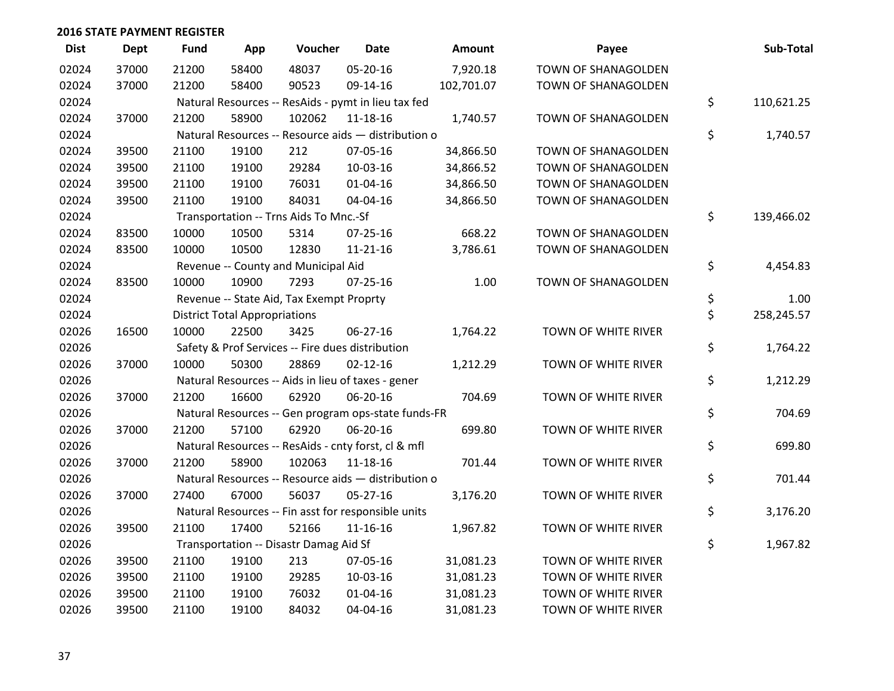| <b>Dist</b> | Dept  | <b>Fund</b> | App                                  | Voucher                                  | <b>Date</b>                                         | Amount     | Payee               | Sub-Total        |
|-------------|-------|-------------|--------------------------------------|------------------------------------------|-----------------------------------------------------|------------|---------------------|------------------|
| 02024       | 37000 | 21200       | 58400                                | 48037                                    | 05-20-16                                            | 7,920.18   | TOWN OF SHANAGOLDEN |                  |
| 02024       | 37000 | 21200       | 58400                                | 90523                                    | 09-14-16                                            | 102,701.07 | TOWN OF SHANAGOLDEN |                  |
| 02024       |       |             |                                      |                                          | Natural Resources -- ResAids - pymt in lieu tax fed |            |                     | \$<br>110,621.25 |
| 02024       | 37000 | 21200       | 58900                                | 102062                                   | 11-18-16                                            | 1,740.57   | TOWN OF SHANAGOLDEN |                  |
| 02024       |       |             |                                      |                                          | Natural Resources -- Resource aids - distribution o |            |                     | \$<br>1,740.57   |
| 02024       | 39500 | 21100       | 19100                                | 212                                      | 07-05-16                                            | 34,866.50  | TOWN OF SHANAGOLDEN |                  |
| 02024       | 39500 | 21100       | 19100                                | 29284                                    | 10-03-16                                            | 34,866.52  | TOWN OF SHANAGOLDEN |                  |
| 02024       | 39500 | 21100       | 19100                                | 76031                                    | $01 - 04 - 16$                                      | 34,866.50  | TOWN OF SHANAGOLDEN |                  |
| 02024       | 39500 | 21100       | 19100                                | 84031                                    | 04-04-16                                            | 34,866.50  | TOWN OF SHANAGOLDEN |                  |
| 02024       |       |             |                                      | Transportation -- Trns Aids To Mnc.-Sf   |                                                     |            |                     | \$<br>139,466.02 |
| 02024       | 83500 | 10000       | 10500                                | 5314                                     | $07 - 25 - 16$                                      | 668.22     | TOWN OF SHANAGOLDEN |                  |
| 02024       | 83500 | 10000       | 10500                                | 12830                                    | $11 - 21 - 16$                                      | 3,786.61   | TOWN OF SHANAGOLDEN |                  |
| 02024       |       |             |                                      | Revenue -- County and Municipal Aid      |                                                     |            |                     | \$<br>4,454.83   |
| 02024       | 83500 | 10000       | 10900                                | 7293                                     | $07 - 25 - 16$                                      | 1.00       | TOWN OF SHANAGOLDEN |                  |
| 02024       |       |             |                                      | Revenue -- State Aid, Tax Exempt Proprty |                                                     |            |                     | \$<br>1.00       |
| 02024       |       |             | <b>District Total Appropriations</b> |                                          |                                                     |            |                     | \$<br>258,245.57 |
| 02026       | 16500 | 10000       | 22500                                | 3425                                     | 06-27-16                                            | 1,764.22   | TOWN OF WHITE RIVER |                  |
| 02026       |       |             |                                      |                                          | Safety & Prof Services -- Fire dues distribution    |            |                     | \$<br>1,764.22   |
| 02026       | 37000 | 10000       | 50300                                | 28869                                    | $02 - 12 - 16$                                      | 1,212.29   | TOWN OF WHITE RIVER |                  |
| 02026       |       |             |                                      |                                          | Natural Resources -- Aids in lieu of taxes - gener  |            |                     | \$<br>1,212.29   |
| 02026       | 37000 | 21200       | 16600                                | 62920                                    | 06-20-16                                            | 704.69     | TOWN OF WHITE RIVER |                  |
| 02026       |       |             |                                      |                                          | Natural Resources -- Gen program ops-state funds-FR |            |                     | \$<br>704.69     |
| 02026       | 37000 | 21200       | 57100                                | 62920                                    | 06-20-16                                            | 699.80     | TOWN OF WHITE RIVER |                  |
| 02026       |       |             |                                      |                                          | Natural Resources -- ResAids - cnty forst, cl & mfl |            |                     | \$<br>699.80     |
| 02026       | 37000 | 21200       | 58900                                | 102063                                   | 11-18-16                                            | 701.44     | TOWN OF WHITE RIVER |                  |
| 02026       |       |             |                                      |                                          | Natural Resources -- Resource aids - distribution o |            |                     | \$<br>701.44     |
| 02026       | 37000 | 27400       | 67000                                | 56037                                    | 05-27-16                                            | 3,176.20   | TOWN OF WHITE RIVER |                  |
| 02026       |       |             |                                      |                                          | Natural Resources -- Fin asst for responsible units |            |                     | \$<br>3,176.20   |
| 02026       | 39500 | 21100       | 17400                                | 52166                                    | 11-16-16                                            | 1,967.82   | TOWN OF WHITE RIVER |                  |
| 02026       |       |             |                                      | Transportation -- Disastr Damag Aid Sf   |                                                     |            |                     | \$<br>1,967.82   |
| 02026       | 39500 | 21100       | 19100                                | 213                                      | 07-05-16                                            | 31,081.23  | TOWN OF WHITE RIVER |                  |
| 02026       | 39500 | 21100       | 19100                                | 29285                                    | 10-03-16                                            | 31,081.23  | TOWN OF WHITE RIVER |                  |
| 02026       | 39500 | 21100       | 19100                                | 76032                                    | $01 - 04 - 16$                                      | 31,081.23  | TOWN OF WHITE RIVER |                  |
| 02026       | 39500 | 21100       | 19100                                | 84032                                    | 04-04-16                                            | 31,081.23  | TOWN OF WHITE RIVER |                  |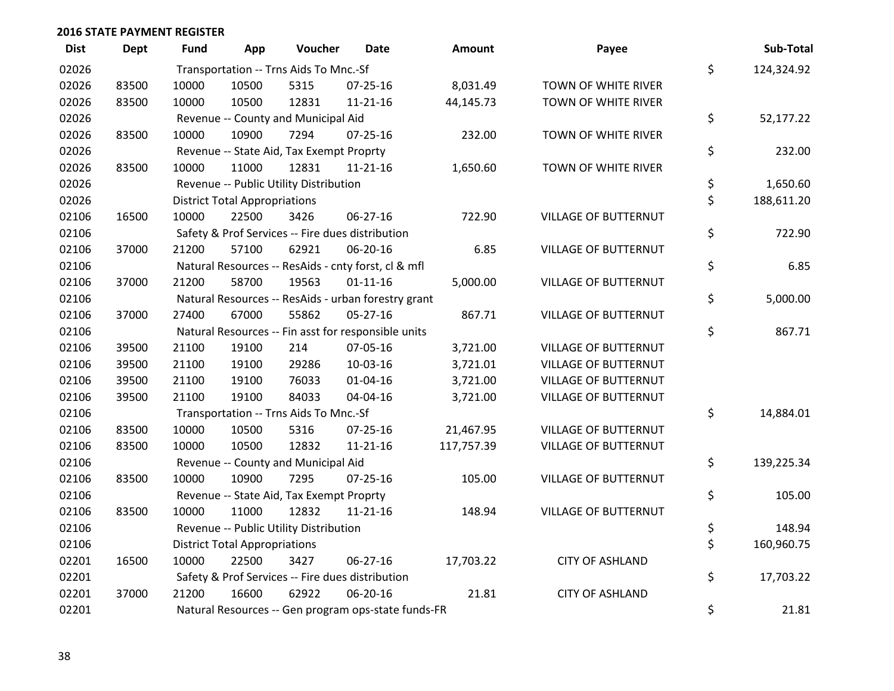| <b>Dist</b> | <b>Dept</b> | <b>Fund</b> | App                                                 | Voucher                                  | <b>Date</b>                                         | Amount     | Payee                       |    | Sub-Total  |  |
|-------------|-------------|-------------|-----------------------------------------------------|------------------------------------------|-----------------------------------------------------|------------|-----------------------------|----|------------|--|
| 02026       |             |             |                                                     | Transportation -- Trns Aids To Mnc.-Sf   |                                                     |            |                             | \$ | 124,324.92 |  |
| 02026       | 83500       | 10000       | 10500                                               | 5315                                     | $07 - 25 - 16$                                      | 8,031.49   | TOWN OF WHITE RIVER         |    |            |  |
| 02026       | 83500       | 10000       | 10500                                               | 12831                                    | $11 - 21 - 16$                                      | 44,145.73  | TOWN OF WHITE RIVER         |    |            |  |
| 02026       |             |             |                                                     | Revenue -- County and Municipal Aid      |                                                     |            |                             | \$ | 52,177.22  |  |
| 02026       | 83500       | 10000       | 10900                                               | 7294                                     | $07 - 25 - 16$                                      | 232.00     | TOWN OF WHITE RIVER         |    |            |  |
| 02026       |             |             |                                                     | Revenue -- State Aid, Tax Exempt Proprty |                                                     |            |                             | \$ | 232.00     |  |
| 02026       | 83500       | 10000       | 11000                                               | 12831                                    | $11 - 21 - 16$                                      | 1,650.60   | TOWN OF WHITE RIVER         |    |            |  |
| 02026       |             |             |                                                     | Revenue -- Public Utility Distribution   |                                                     |            |                             | \$ | 1,650.60   |  |
| 02026       |             |             | <b>District Total Appropriations</b>                |                                          |                                                     |            |                             |    |            |  |
| 02106       | 16500       | 10000       | 22500                                               | 3426                                     | 06-27-16                                            | 722.90     | VILLAGE OF BUTTERNUT        |    |            |  |
| 02106       |             |             |                                                     |                                          | Safety & Prof Services -- Fire dues distribution    |            |                             | \$ | 722.90     |  |
| 02106       | 37000       | 21200       | 57100                                               | 62921                                    | 06-20-16                                            | 6.85       | <b>VILLAGE OF BUTTERNUT</b> |    |            |  |
| 02106       |             |             |                                                     |                                          | Natural Resources -- ResAids - cnty forst, cl & mfl |            |                             | \$ | 6.85       |  |
| 02106       | 37000       | 21200       | 58700                                               | 19563                                    | $01 - 11 - 16$                                      | 5,000.00   | VILLAGE OF BUTTERNUT        |    |            |  |
| 02106       |             |             |                                                     |                                          | Natural Resources -- ResAids - urban forestry grant |            |                             | \$ | 5,000.00   |  |
| 02106       | 37000       | 27400       | 67000                                               | 55862                                    | 05-27-16                                            | 867.71     | <b>VILLAGE OF BUTTERNUT</b> |    |            |  |
| 02106       |             |             |                                                     |                                          | Natural Resources -- Fin asst for responsible units |            |                             | \$ | 867.71     |  |
| 02106       | 39500       | 21100       | 19100                                               | 214                                      | 07-05-16                                            | 3,721.00   | VILLAGE OF BUTTERNUT        |    |            |  |
| 02106       | 39500       | 21100       | 19100                                               | 29286                                    | 10-03-16                                            | 3,721.01   | <b>VILLAGE OF BUTTERNUT</b> |    |            |  |
| 02106       | 39500       | 21100       | 19100                                               | 76033                                    | $01 - 04 - 16$                                      | 3,721.00   | <b>VILLAGE OF BUTTERNUT</b> |    |            |  |
| 02106       | 39500       | 21100       | 19100                                               | 84033                                    | 04-04-16                                            | 3,721.00   | <b>VILLAGE OF BUTTERNUT</b> |    |            |  |
| 02106       |             |             |                                                     | Transportation -- Trns Aids To Mnc.-Sf   |                                                     |            |                             | \$ | 14,884.01  |  |
| 02106       | 83500       | 10000       | 10500                                               | 5316                                     | $07 - 25 - 16$                                      | 21,467.95  | <b>VILLAGE OF BUTTERNUT</b> |    |            |  |
| 02106       | 83500       | 10000       | 10500                                               | 12832                                    | $11 - 21 - 16$                                      | 117,757.39 | <b>VILLAGE OF BUTTERNUT</b> |    |            |  |
| 02106       |             |             |                                                     | Revenue -- County and Municipal Aid      |                                                     |            |                             | \$ | 139,225.34 |  |
| 02106       | 83500       | 10000       | 10900                                               | 7295                                     | $07 - 25 - 16$                                      | 105.00     | VILLAGE OF BUTTERNUT        |    |            |  |
| 02106       |             |             |                                                     | Revenue -- State Aid, Tax Exempt Proprty |                                                     |            |                             | \$ | 105.00     |  |
| 02106       | 83500       | 10000       | 11000                                               | 12832                                    | $11 - 21 - 16$                                      | 148.94     | <b>VILLAGE OF BUTTERNUT</b> |    |            |  |
| 02106       |             |             |                                                     | Revenue -- Public Utility Distribution   |                                                     |            |                             | \$ | 148.94     |  |
| 02106       |             |             | <b>District Total Appropriations</b>                |                                          |                                                     |            |                             | \$ | 160,960.75 |  |
| 02201       | 16500       | 10000       | 22500                                               | 3427                                     | 06-27-16                                            | 17,703.22  | <b>CITY OF ASHLAND</b>      |    |            |  |
| 02201       |             |             |                                                     |                                          | Safety & Prof Services -- Fire dues distribution    |            |                             | \$ | 17,703.22  |  |
| 02201       | 37000       | 21200       | 16600                                               | 62922                                    | 06-20-16                                            | 21.81      | <b>CITY OF ASHLAND</b>      |    |            |  |
| 02201       |             |             | Natural Resources -- Gen program ops-state funds-FR | \$                                       | 21.81                                               |            |                             |    |            |  |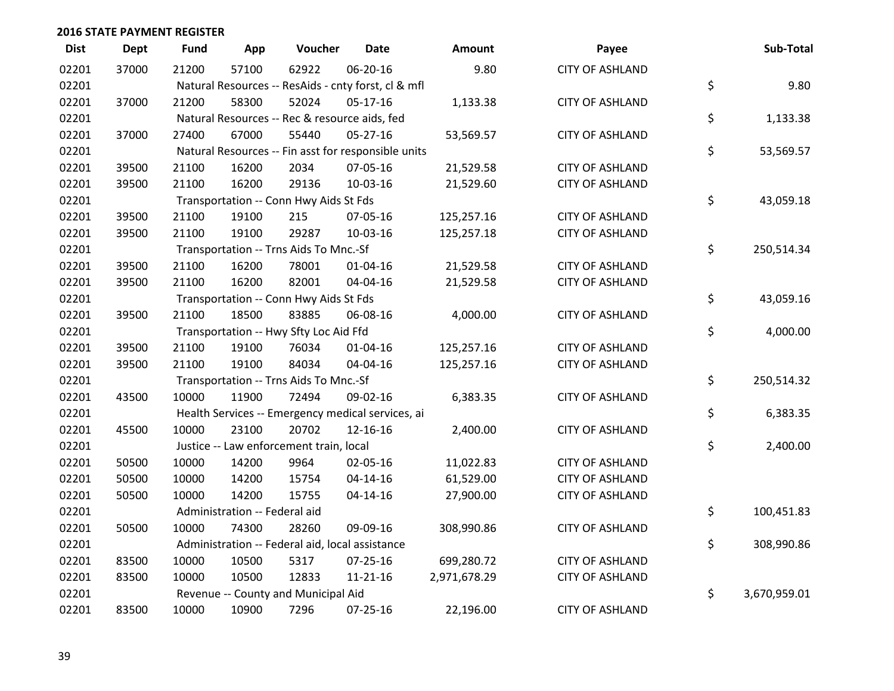| <b>Dist</b> | <b>Dept</b> | <b>Fund</b>                                     | App                           | Voucher                                             | <b>Date</b>    | Amount       | Payee                  |    | Sub-Total    |
|-------------|-------------|-------------------------------------------------|-------------------------------|-----------------------------------------------------|----------------|--------------|------------------------|----|--------------|
| 02201       | 37000       | 21200                                           | 57100                         | 62922                                               | 06-20-16       | 9.80         | <b>CITY OF ASHLAND</b> |    |              |
| 02201       |             |                                                 |                               | Natural Resources -- ResAids - cnty forst, cl & mfl |                |              |                        | \$ | 9.80         |
| 02201       | 37000       | 21200                                           | 58300                         | 52024                                               | 05-17-16       | 1,133.38     | <b>CITY OF ASHLAND</b> |    |              |
| 02201       |             |                                                 |                               | Natural Resources -- Rec & resource aids, fed       |                |              |                        | \$ | 1,133.38     |
| 02201       | 37000       | 27400                                           | 67000                         | 55440                                               | $05 - 27 - 16$ | 53,569.57    | <b>CITY OF ASHLAND</b> |    |              |
| 02201       |             |                                                 |                               | Natural Resources -- Fin asst for responsible units |                |              |                        | \$ | 53,569.57    |
| 02201       | 39500       | 21100                                           | 16200                         | 2034                                                | 07-05-16       | 21,529.58    | <b>CITY OF ASHLAND</b> |    |              |
| 02201       | 39500       | 21100                                           | 16200                         | 29136                                               | 10-03-16       | 21,529.60    | <b>CITY OF ASHLAND</b> |    |              |
| 02201       |             |                                                 |                               | Transportation -- Conn Hwy Aids St Fds              |                |              |                        | \$ | 43,059.18    |
| 02201       | 39500       | 21100                                           | 19100                         | 215                                                 | 07-05-16       | 125,257.16   | <b>CITY OF ASHLAND</b> |    |              |
| 02201       | 39500       | 21100                                           | 19100                         | 29287                                               | 10-03-16       | 125,257.18   | <b>CITY OF ASHLAND</b> |    |              |
| 02201       |             |                                                 |                               | Transportation -- Trns Aids To Mnc.-Sf              |                |              |                        | \$ | 250,514.34   |
| 02201       | 39500       | 21100                                           | 16200                         | 78001                                               | 01-04-16       | 21,529.58    | <b>CITY OF ASHLAND</b> |    |              |
| 02201       | 39500       | 21100                                           | 16200                         | 82001                                               | 04-04-16       | 21,529.58    | <b>CITY OF ASHLAND</b> |    |              |
| 02201       |             |                                                 |                               | Transportation -- Conn Hwy Aids St Fds              |                |              |                        | \$ | 43,059.16    |
| 02201       | 39500       | 21100                                           | 18500                         | 83885                                               | 06-08-16       | 4,000.00     | <b>CITY OF ASHLAND</b> |    |              |
| 02201       |             |                                                 |                               | Transportation -- Hwy Sfty Loc Aid Ffd              |                |              |                        | \$ | 4,000.00     |
| 02201       | 39500       | 21100                                           | 19100                         | 76034                                               | $01 - 04 - 16$ | 125,257.16   | <b>CITY OF ASHLAND</b> |    |              |
| 02201       | 39500       | 21100                                           | 19100                         | 84034                                               | 04-04-16       | 125,257.16   | <b>CITY OF ASHLAND</b> |    |              |
| 02201       |             |                                                 |                               | Transportation -- Trns Aids To Mnc.-Sf              |                |              |                        | \$ | 250,514.32   |
| 02201       | 43500       | 10000                                           | 11900                         | 72494                                               | 09-02-16       | 6,383.35     | <b>CITY OF ASHLAND</b> |    |              |
| 02201       |             |                                                 |                               | Health Services -- Emergency medical services, ai   |                |              |                        | \$ | 6,383.35     |
| 02201       | 45500       | 10000                                           | 23100                         | 20702                                               | 12-16-16       | 2,400.00     | <b>CITY OF ASHLAND</b> |    |              |
| 02201       |             |                                                 |                               | Justice -- Law enforcement train, local             |                |              |                        | \$ | 2,400.00     |
| 02201       | 50500       | 10000                                           | 14200                         | 9964                                                | 02-05-16       | 11,022.83    | <b>CITY OF ASHLAND</b> |    |              |
| 02201       | 50500       | 10000                                           | 14200                         | 15754                                               | $04 - 14 - 16$ | 61,529.00    | <b>CITY OF ASHLAND</b> |    |              |
| 02201       | 50500       | 10000                                           | 14200                         | 15755                                               | 04-14-16       | 27,900.00    | <b>CITY OF ASHLAND</b> |    |              |
| 02201       |             |                                                 | Administration -- Federal aid |                                                     |                |              |                        | \$ | 100,451.83   |
| 02201       | 50500       | 10000                                           | 74300                         | 28260                                               | 09-09-16       | 308,990.86   | <b>CITY OF ASHLAND</b> |    |              |
| 02201       |             | Administration -- Federal aid, local assistance |                               |                                                     |                |              |                        |    | 308,990.86   |
| 02201       | 83500       | 10000                                           | 10500                         | 5317                                                | 07-25-16       | 699,280.72   | <b>CITY OF ASHLAND</b> |    |              |
| 02201       | 83500       | 10000                                           | 10500                         | 12833                                               | 11-21-16       | 2,971,678.29 | <b>CITY OF ASHLAND</b> |    |              |
| 02201       |             |                                                 |                               | Revenue -- County and Municipal Aid                 |                |              |                        | \$ | 3,670,959.01 |
| 02201       | 83500       | 10000                                           | 10900                         | 7296                                                | $07 - 25 - 16$ | 22,196.00    | <b>CITY OF ASHLAND</b> |    |              |